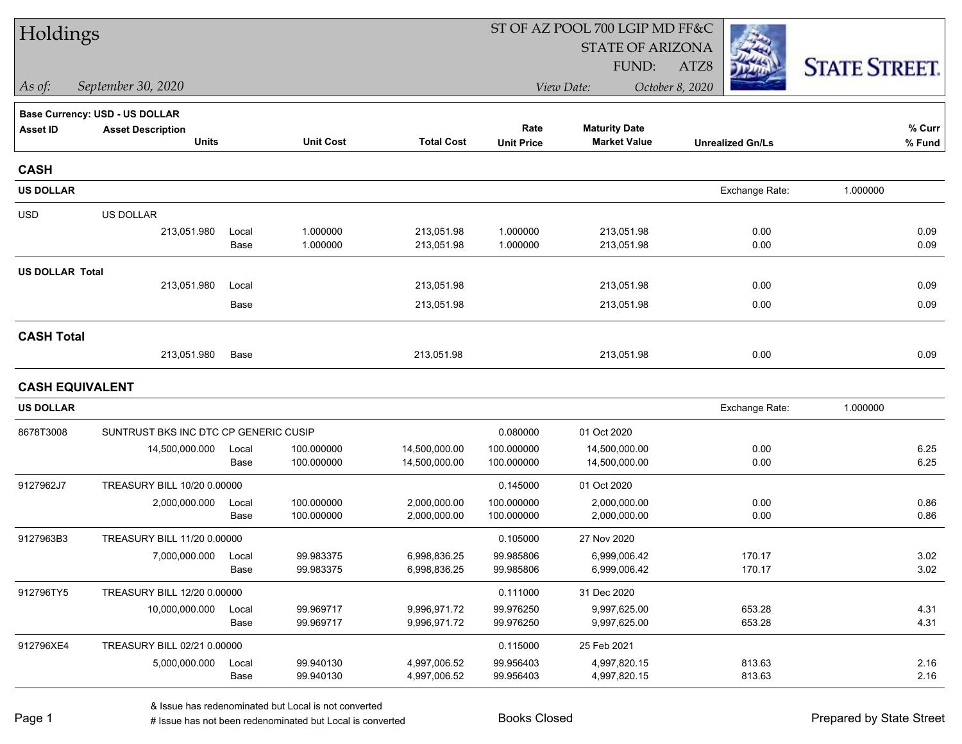| Holdings               |                                       |       |                  |                   | ST OF AZ POOL 700 LGIP MD FF&C |                         |                         |                      |  |
|------------------------|---------------------------------------|-------|------------------|-------------------|--------------------------------|-------------------------|-------------------------|----------------------|--|
|                        |                                       |       |                  |                   |                                | <b>STATE OF ARIZONA</b> |                         |                      |  |
|                        |                                       |       |                  |                   |                                | FUND:                   | ATZ8                    | <b>STATE STREET.</b> |  |
| As of:                 | September 30, 2020                    |       |                  |                   |                                | View Date:              | October 8, 2020         |                      |  |
|                        | <b>Base Currency: USD - US DOLLAR</b> |       |                  |                   |                                |                         |                         |                      |  |
| <b>Asset ID</b>        | <b>Asset Description</b>              |       |                  |                   | Rate                           | <b>Maturity Date</b>    |                         | % Curr               |  |
|                        | <b>Units</b>                          |       | <b>Unit Cost</b> | <b>Total Cost</b> | <b>Unit Price</b>              | <b>Market Value</b>     | <b>Unrealized Gn/Ls</b> | % Fund               |  |
| <b>CASH</b>            |                                       |       |                  |                   |                                |                         |                         |                      |  |
| <b>US DOLLAR</b>       |                                       |       |                  |                   |                                |                         | Exchange Rate:          | 1.000000             |  |
| <b>USD</b>             | US DOLLAR                             |       |                  |                   |                                |                         |                         |                      |  |
|                        | 213,051.980                           | Local | 1.000000         | 213,051.98        | 1.000000                       | 213,051.98              | 0.00                    | 0.09                 |  |
|                        |                                       | Base  | 1.000000         | 213,051.98        | 1.000000                       | 213,051.98              | 0.00                    | 0.09                 |  |
| <b>US DOLLAR Total</b> |                                       |       |                  |                   |                                |                         |                         |                      |  |
|                        | 213,051.980                           | Local |                  | 213,051.98        |                                | 213,051.98              | 0.00                    | 0.09                 |  |
|                        |                                       | Base  |                  | 213,051.98        |                                | 213,051.98              | 0.00                    | 0.09                 |  |
| <b>CASH Total</b>      |                                       |       |                  |                   |                                |                         |                         |                      |  |
|                        | 213,051.980                           | Base  |                  | 213,051.98        |                                | 213,051.98              | 0.00                    | 0.09                 |  |
|                        | <b>CASH EQUIVALENT</b>                |       |                  |                   |                                |                         |                         |                      |  |
| <b>US DOLLAR</b>       |                                       |       |                  |                   |                                |                         | Exchange Rate:          | 1.000000             |  |
| 8678T3008              | SUNTRUST BKS INC DTC CP GENERIC CUSIP |       |                  |                   | 0.080000                       | 01 Oct 2020             |                         |                      |  |
|                        | 14,500,000.000                        | Local | 100.000000       | 14,500,000.00     | 100.000000                     | 14,500,000.00           | 0.00                    | 6.25                 |  |
|                        |                                       | Base  | 100.000000       | 14,500,000.00     | 100.000000                     | 14,500,000.00           | 0.00                    | 6.25                 |  |
| 9127962J7              | TREASURY BILL 10/20 0.00000           |       |                  |                   | 0.145000                       | 01 Oct 2020             |                         |                      |  |
|                        | 2,000,000.000                         | Local | 100.000000       | 2,000,000.00      | 100.000000                     | 2,000,000.00            | 0.00                    | 0.86                 |  |
|                        |                                       | Base  | 100.000000       | 2,000,000.00      | 100.000000                     | 2,000,000.00            | 0.00                    | 0.86                 |  |
| 9127963B3              | TREASURY BILL 11/20 0.00000           |       |                  |                   | 0.105000                       | 27 Nov 2020             |                         |                      |  |
|                        | 7,000,000.000                         | Local | 99.983375        | 6,998,836.25      | 99.985806                      | 6,999,006.42            | 170.17                  | 3.02                 |  |
|                        |                                       | Base  | 99.983375        | 6,998,836.25      | 99.985806                      | 6,999,006.42            | 170.17                  | 3.02                 |  |
| 912796TY5              | TREASURY BILL 12/20 0.00000           |       |                  |                   | 0.111000                       | 31 Dec 2020             |                         |                      |  |
|                        | 10,000,000.000                        | Local | 99.969717        | 9,996,971.72      | 99.976250                      | 9,997,625.00            | 653.28                  | 4.31                 |  |
|                        |                                       | Base  | 99.969717        | 9,996,971.72      | 99.976250                      | 9,997,625.00            | 653.28                  | 4.31                 |  |
| 912796XE4              | TREASURY BILL 02/21 0.00000           |       |                  |                   | 0.115000                       | 25 Feb 2021             |                         |                      |  |
|                        | 5,000,000.000                         | Local | 99.940130        | 4,997,006.52      | 99.956403                      | 4,997,820.15            | 813.63                  | 2.16                 |  |
|                        |                                       | Base  | 99.940130        | 4,997,006.52      | 99.956403                      | 4,997,820.15            | 813.63                  | 2.16                 |  |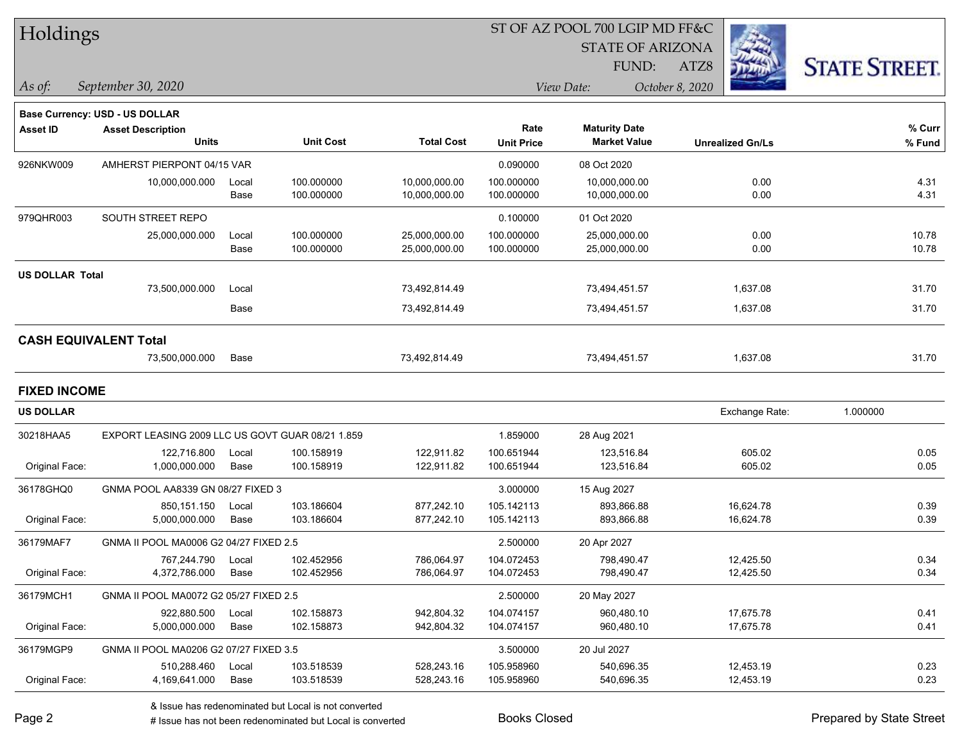| Holdings |  |
|----------|--|
|----------|--|

STATE OF ARIZONA

ATZ8



*September 30, 2020 As of: View Date: October 8, 2020*

FUND:

|                        | <b>Base Currency: USD - US DOLLAR</b>            |             |                  |                   |                   |                      |                         |          |
|------------------------|--------------------------------------------------|-------------|------------------|-------------------|-------------------|----------------------|-------------------------|----------|
| <b>Asset ID</b>        | <b>Asset Description</b>                         |             |                  |                   | Rate              | <b>Maturity Date</b> |                         | % Curr   |
|                        | <b>Units</b>                                     |             | <b>Unit Cost</b> | <b>Total Cost</b> | <b>Unit Price</b> | <b>Market Value</b>  | <b>Unrealized Gn/Ls</b> | % Fund   |
| 926NKW009              | AMHERST PIERPONT 04/15 VAR                       |             |                  |                   | 0.090000          | 08 Oct 2020          |                         |          |
|                        | 10,000,000.000                                   | Local       | 100.000000       | 10,000,000.00     | 100.000000        | 10,000,000.00        | 0.00                    | 4.31     |
|                        |                                                  | Base        | 100.000000       | 10,000,000.00     | 100.000000        | 10,000,000.00        | 0.00                    | 4.31     |
| 979QHR003              | SOUTH STREET REPO                                |             |                  |                   | 0.100000          | 01 Oct 2020          |                         |          |
|                        | 25,000,000.000                                   | Local       | 100.000000       | 25,000,000.00     | 100.000000        | 25,000,000.00        | 0.00                    | 10.78    |
|                        |                                                  | Base        | 100.000000       | 25,000,000.00     | 100.000000        | 25,000,000.00        | 0.00                    | 10.78    |
| <b>US DOLLAR Total</b> |                                                  |             |                  |                   |                   |                      |                         |          |
|                        | 73,500,000.000                                   | Local       |                  | 73,492,814.49     |                   | 73,494,451.57        | 1,637.08                | 31.70    |
|                        |                                                  | Base        |                  | 73,492,814.49     |                   | 73,494,451.57        | 1,637.08                | 31.70    |
|                        | <b>CASH EQUIVALENT Total</b>                     |             |                  |                   |                   |                      |                         |          |
|                        | 73,500,000.000                                   | Base        |                  | 73,492,814.49     |                   | 73,494,451.57        | 1,637.08                | 31.70    |
| <b>FIXED INCOME</b>    |                                                  |             |                  |                   |                   |                      |                         |          |
| <b>US DOLLAR</b>       |                                                  |             |                  |                   |                   |                      | Exchange Rate:          | 1.000000 |
| 30218HAA5              | EXPORT LEASING 2009 LLC US GOVT GUAR 08/21 1.859 |             |                  |                   | 1.859000          | 28 Aug 2021          |                         |          |
|                        | 122.716.800                                      | Local       | 100.158919       | 122,911.82        | 100.651944        | 123.516.84           | 605.02                  | 0.05     |
| Original Face:         | 1,000,000.000                                    | Base        | 100.158919       | 122,911.82        | 100.651944        | 123,516.84           | 605.02                  | 0.05     |
| 36178GHQ0              | GNMA POOL AA8339 GN 08/27 FIXED 3                |             |                  |                   | 3.000000          | 15 Aug 2027          |                         |          |
|                        | 850,151.150                                      | Local       | 103.186604       | 877,242.10        | 105.142113        | 893,866.88           | 16,624.78               | 0.39     |
| Original Eggas         | E 000.000.000                                    | <b>Dooo</b> | 102, 106604      | 077 242 10        | 105.110110        | 00200000             | 16.621.70               | n on     |

| Original Face: | 5.000.000.000                          | Base  | 103.186604 | 877.242.10 | 105.142113 | 893.866.88  | 16.624.78 | 0.39 |
|----------------|----------------------------------------|-------|------------|------------|------------|-------------|-----------|------|
| 36179MAF7      | GNMA II POOL MA0006 G2 04/27 FIXED 2.5 |       |            |            | 2.500000   | 20 Apr 2027 |           |      |
|                | 767.244.790                            | Local | 102.452956 | 786.064.97 | 104.072453 | 798.490.47  | 12.425.50 | 0.34 |
| Original Face: | 4.372.786.000                          | Base  | 102.452956 | 786.064.97 | 104.072453 | 798.490.47  | 12.425.50 | 0.34 |
| 36179MCH1      | GNMA II POOL MA0072 G2 05/27 FIXED 2.5 |       |            |            | 2.500000   | 20 May 2027 |           |      |
|                | 922.880.500                            | Local | 102.158873 | 942.804.32 | 104.074157 | 960.480.10  | 17.675.78 | 0.41 |
| Original Face: | 5.000.000.000                          | Base  | 102.158873 | 942.804.32 | 104.074157 | 960.480.10  | 17.675.78 | 0.41 |
| 36179MGP9      | GNMA II POOL MA0206 G2 07/27 FIXED 3.5 |       |            |            | 3.500000   | 20 Jul 2027 |           |      |
|                | 510.288.460                            | Local | 103.518539 | 528.243.16 | 105.958960 | 540.696.35  | 12.453.19 | 0.23 |
| Original Face: | 4,169,641.000                          | Base  | 103.518539 | 528,243.16 | 105.958960 | 540,696.35  | 12,453.19 | 0.23 |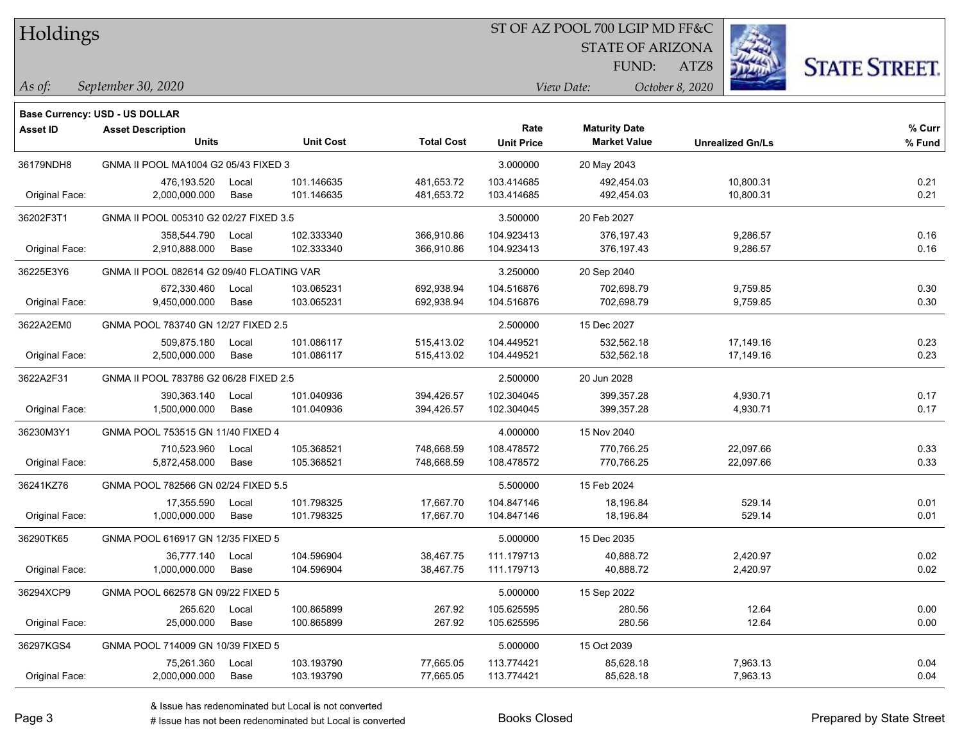| Holdings |
|----------|
|          |

STATE OF ARIZONA

ATZ8



*September 30, 2020 As of: View Date: October 8, 2020*

FUND:

|                | Base Currency: USD - US DOLLAR            |       |                  |                   |                   |                      |                         |        |
|----------------|-------------------------------------------|-------|------------------|-------------------|-------------------|----------------------|-------------------------|--------|
| Asset ID       | <b>Asset Description</b>                  |       |                  |                   | Rate              | <b>Maturity Date</b> |                         | % Curr |
|                | <b>Units</b>                              |       | <b>Unit Cost</b> | <b>Total Cost</b> | <b>Unit Price</b> | <b>Market Value</b>  | <b>Unrealized Gn/Ls</b> | % Fund |
| 36179NDH8      | GNMA II POOL MA1004 G2 05/43 FIXED 3      |       |                  |                   | 3.000000          | 20 May 2043          |                         |        |
|                | 476,193.520                               | Local | 101.146635       | 481,653.72        | 103.414685        | 492,454.03           | 10,800.31               | 0.21   |
| Original Face: | 2,000,000.000                             | Base  | 101.146635       | 481,653.72        | 103.414685        | 492,454.03           | 10,800.31               | 0.21   |
| 36202F3T1      | GNMA II POOL 005310 G2 02/27 FIXED 3.5    |       |                  |                   | 3.500000          | 20 Feb 2027          |                         |        |
|                | 358,544.790                               | Local | 102.333340       | 366,910.86        | 104.923413        | 376,197.43           | 9,286.57                | 0.16   |
| Original Face: | 2,910,888.000                             | Base  | 102.333340       | 366,910.86        | 104.923413        | 376,197.43           | 9,286.57                | 0.16   |
| 36225E3Y6      | GNMA II POOL 082614 G2 09/40 FLOATING VAR |       |                  |                   | 3.250000          | 20 Sep 2040          |                         |        |
|                | 672,330.460                               | Local | 103.065231       | 692,938.94        | 104.516876        | 702,698.79           | 9,759.85                | 0.30   |
| Original Face: | 9,450,000.000                             | Base  | 103.065231       | 692,938.94        | 104.516876        | 702,698.79           | 9,759.85                | 0.30   |
| 3622A2EM0      | GNMA POOL 783740 GN 12/27 FIXED 2.5       |       |                  |                   | 2.500000          | 15 Dec 2027          |                         |        |
|                | 509,875.180                               | Local | 101.086117       | 515,413.02        | 104.449521        | 532.562.18           | 17,149.16               | 0.23   |
| Original Face: | 2,500,000.000                             | Base  | 101.086117       | 515,413.02        | 104.449521        | 532,562.18           | 17,149.16               | 0.23   |
| 3622A2F31      | GNMA II POOL 783786 G2 06/28 FIXED 2.5    |       |                  |                   | 2.500000          | 20 Jun 2028          |                         |        |
|                | 390,363.140                               | Local | 101.040936       | 394,426.57        | 102.304045        | 399,357.28           | 4,930.71                | 0.17   |
| Original Face: | 1,500,000.000                             | Base  | 101.040936       | 394,426.57        | 102.304045        | 399,357.28           | 4,930.71                | 0.17   |
| 36230M3Y1      | GNMA POOL 753515 GN 11/40 FIXED 4         |       |                  | 4.000000          | 15 Nov 2040       |                      |                         |        |
|                | 710,523.960                               | Local | 105.368521       | 748,668.59        | 108.478572        | 770,766.25           | 22,097.66               | 0.33   |
| Original Face: | 5,872,458.000                             | Base  | 105.368521       | 748,668.59        | 108.478572        | 770,766.25           | 22,097.66               | 0.33   |
| 36241KZ76      | GNMA POOL 782566 GN 02/24 FIXED 5.5       |       |                  |                   | 5.500000          | 15 Feb 2024          |                         |        |
|                | 17,355.590                                | Local | 101.798325       | 17,667.70         | 104.847146        | 18,196.84            | 529.14                  | 0.01   |
| Original Face: | 1,000,000.000                             | Base  | 101.798325       | 17,667.70         | 104.847146        | 18,196.84            | 529.14                  | 0.01   |
| 36290TK65      | GNMA POOL 616917 GN 12/35 FIXED 5         |       |                  |                   | 5.000000          | 15 Dec 2035          |                         |        |
|                | 36,777.140                                | Local | 104.596904       | 38,467.75         | 111.179713        | 40,888.72            | 2,420.97                | 0.02   |
| Original Face: | 1,000,000.000                             | Base  | 104.596904       | 38,467.75         | 111.179713        | 40,888.72            | 2,420.97                | 0.02   |
| 36294XCP9      | GNMA POOL 662578 GN 09/22 FIXED 5         |       |                  |                   | 5.000000          | 15 Sep 2022          |                         |        |
|                | 265.620                                   | Local | 100.865899       | 267.92            | 105.625595        | 280.56               | 12.64                   | 0.00   |
| Original Face: | 25,000.000                                | Base  | 100.865899       | 267.92            | 105.625595        | 280.56               | 12.64                   | 0.00   |
| 36297KGS4      | GNMA POOL 714009 GN 10/39 FIXED 5         |       |                  |                   | 5.000000          | 15 Oct 2039          |                         |        |
|                | 75,261.360                                | Local | 103.193790       | 77,665.05         | 113.774421        | 85,628.18            | 7,963.13                | 0.04   |
| Original Face: | 2,000,000.000                             | Base  | 103.193790       | 77,665.05         | 113.774421        | 85,628.18            | 7,963.13                | 0.04   |

 $\overline{\phantom{0}}$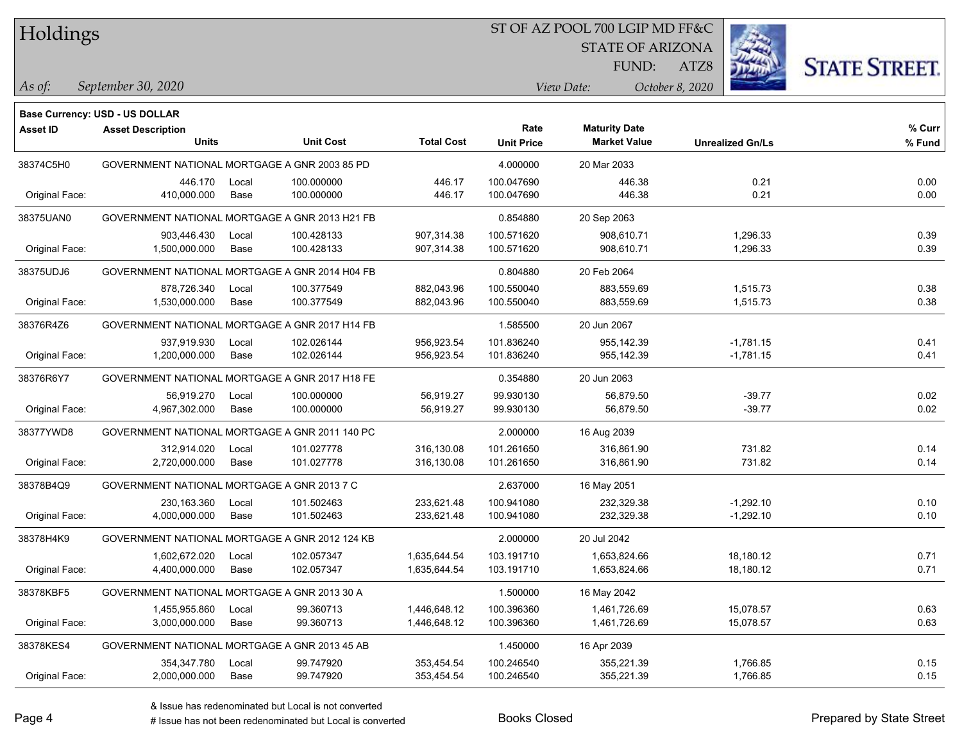Holdings

#### ST OF AZ POOL 700 LGIP MD FF&C

STATE OF ARIZONA

ATZ8



*September 30, 2020 As of: View Date: October 8, 2020*

**Base Currency: USD - US DOLLAR**

FUND:

| <b>Asset ID</b> | <b>Asset Description</b>                       |       |                  |                   | Rate              | <b>Maturity Date</b> |                         | % Curr |
|-----------------|------------------------------------------------|-------|------------------|-------------------|-------------------|----------------------|-------------------------|--------|
|                 | <b>Units</b>                                   |       | <b>Unit Cost</b> | <b>Total Cost</b> | <b>Unit Price</b> | <b>Market Value</b>  | <b>Unrealized Gn/Ls</b> | % Fund |
| 38374C5H0       | GOVERNMENT NATIONAL MORTGAGE A GNR 2003 85 PD  |       |                  | 4.000000          | 20 Mar 2033       |                      |                         |        |
|                 | 446.170                                        | Local | 100.000000       | 446.17            | 100.047690        | 446.38               | 0.21                    | 0.00   |
| Original Face:  | 410,000.000                                    | Base  | 100.000000       | 446.17            | 100.047690        | 446.38               | 0.21                    | 0.00   |
| 38375UAN0       | GOVERNMENT NATIONAL MORTGAGE A GNR 2013 H21 FB |       |                  |                   | 0.854880          | 20 Sep 2063          |                         |        |
|                 | 903,446.430                                    | Local | 100.428133       | 907,314.38        | 100.571620        | 908,610.71           | 1,296.33                | 0.39   |
| Original Face:  | 1,500,000.000                                  | Base  | 100.428133       | 907,314.38        | 100.571620        | 908,610.71           | 1,296.33                | 0.39   |
| 38375UDJ6       | GOVERNMENT NATIONAL MORTGAGE A GNR 2014 H04 FB |       |                  |                   | 0.804880          | 20 Feb 2064          |                         |        |
|                 | 878,726.340                                    | Local | 100.377549       | 882,043.96        | 100.550040        | 883,559.69           | 1,515.73                | 0.38   |
| Original Face:  | 1,530,000.000                                  | Base  | 100.377549       | 882,043.96        | 100.550040        | 883,559.69           | 1,515.73                | 0.38   |
| 38376R4Z6       | GOVERNMENT NATIONAL MORTGAGE A GNR 2017 H14 FB |       |                  |                   | 1.585500          | 20 Jun 2067          |                         |        |
|                 | 937,919.930                                    | Local | 102.026144       | 956,923.54        | 101.836240        | 955, 142.39          | $-1,781.15$             | 0.41   |
| Original Face:  | 1,200,000.000                                  | Base  | 102.026144       | 956,923.54        | 101.836240        | 955,142.39           | $-1,781.15$             | 0.41   |
| 38376R6Y7       | GOVERNMENT NATIONAL MORTGAGE A GNR 2017 H18 FE |       |                  |                   | 0.354880          | 20 Jun 2063          |                         |        |
|                 | 56,919.270                                     | Local | 100.000000       | 56,919.27         | 99.930130         | 56,879.50            | $-39.77$                | 0.02   |
| Original Face:  | 4.967.302.000                                  | Base  | 100.000000       | 56.919.27         | 99.930130         | 56,879.50            | $-39.77$                | 0.02   |
| 38377YWD8       | GOVERNMENT NATIONAL MORTGAGE A GNR 2011 140 PC |       |                  |                   | 2.000000          | 16 Aug 2039          |                         |        |
|                 | 312,914.020                                    | Local | 101.027778       | 316,130.08        | 101.261650        | 316,861.90           | 731.82                  | 0.14   |
| Original Face:  | 2,720,000.000                                  | Base  | 101.027778       | 316,130.08        | 101.261650        | 316,861.90           | 731.82                  | 0.14   |
| 38378B4Q9       | GOVERNMENT NATIONAL MORTGAGE A GNR 2013 7 C    |       |                  |                   | 2.637000          | 16 May 2051          |                         |        |
|                 | 230,163.360                                    | Local | 101.502463       | 233,621.48        | 100.941080        | 232,329.38           | $-1,292.10$             | 0.10   |
| Original Face:  | 4,000,000.000                                  | Base  | 101.502463       | 233,621.48        | 100.941080        | 232,329.38           | $-1,292.10$             | 0.10   |
| 38378H4K9       | GOVERNMENT NATIONAL MORTGAGE A GNR 2012 124 KB |       |                  |                   | 2.000000          | 20 Jul 2042          |                         |        |
|                 | 1,602,672.020                                  | Local | 102.057347       | 1,635,644.54      | 103.191710        | 1,653,824.66         | 18,180.12               | 0.71   |
| Original Face:  | 4,400,000.000                                  | Base  | 102.057347       | 1,635,644.54      | 103.191710        | 1,653,824.66         | 18,180.12               | 0.71   |
| 38378KBF5       | GOVERNMENT NATIONAL MORTGAGE A GNR 2013 30 A   |       |                  |                   | 1.500000          | 16 May 2042          |                         |        |
|                 | 1,455,955.860                                  | Local | 99.360713        | 1,446,648.12      | 100.396360        | 1,461,726.69         | 15,078.57               | 0.63   |
| Original Face:  | 3,000,000.000                                  | Base  | 99.360713        | 1,446,648.12      | 100.396360        | 1,461,726.69         | 15,078.57               | 0.63   |
| 38378KES4       | GOVERNMENT NATIONAL MORTGAGE A GNR 2013 45 AB  |       |                  |                   | 1.450000          | 16 Apr 2039          |                         |        |
|                 | 354,347.780                                    | Local | 99.747920        | 353,454.54        | 100.246540        | 355,221.39           | 1,766.85                | 0.15   |
| Original Face:  | 2,000,000.000                                  | Base  | 99.747920        | 353,454.54        | 100.246540        | 355,221.39           | 1,766.85                | 0.15   |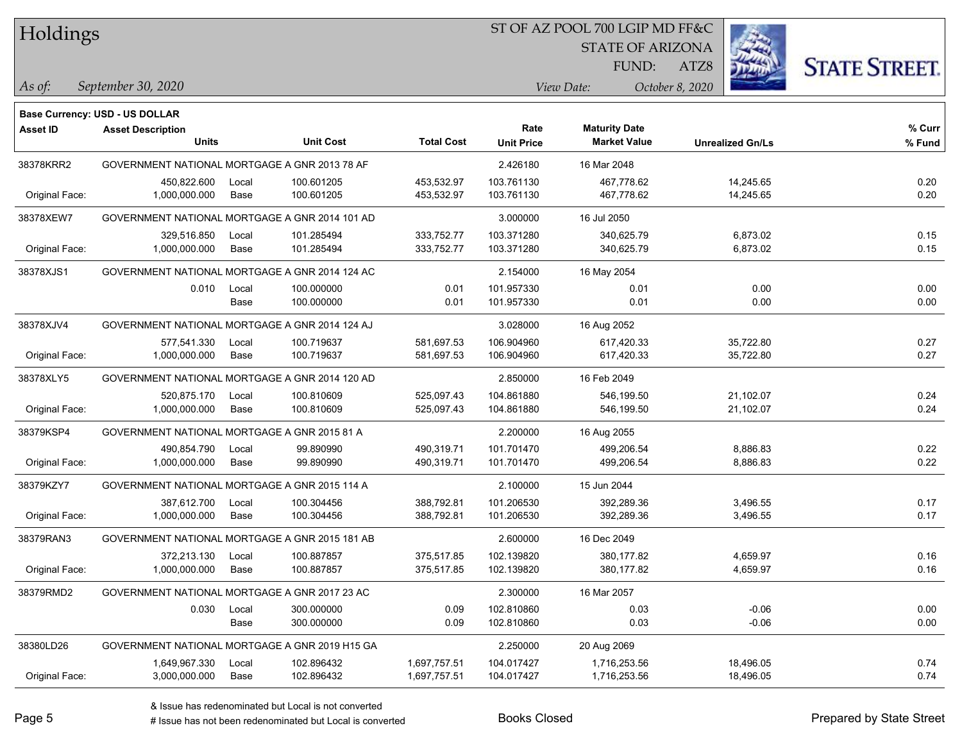|  | <b>Holdings</b> |
|--|-----------------|
|  |                 |

STATE OF ARIZONA

ATZ8



*September 30, 2020 As of: View Date: October 8, 2020*

**Base Currency: USD - US DOLLAR**

FUND:

| <b>Asset ID</b> | <b>Asset Description</b>                       |       |                  |                   | Rate              | <b>Maturity Date</b> |                         | % Curr |
|-----------------|------------------------------------------------|-------|------------------|-------------------|-------------------|----------------------|-------------------------|--------|
|                 | <b>Units</b>                                   |       | <b>Unit Cost</b> | <b>Total Cost</b> | <b>Unit Price</b> | <b>Market Value</b>  | <b>Unrealized Gn/Ls</b> | % Fund |
| 38378KRR2       | GOVERNMENT NATIONAL MORTGAGE A GNR 2013 78 AF  |       |                  |                   | 2.426180          | 16 Mar 2048          |                         |        |
|                 | 450,822.600                                    | Local | 100.601205       | 453,532.97        | 103.761130        | 467,778.62           | 14,245.65               | 0.20   |
| Original Face:  | 1,000,000.000                                  | Base  | 100.601205       | 453,532.97        | 103.761130        | 467,778.62           | 14,245.65               | 0.20   |
| 38378XEW7       | GOVERNMENT NATIONAL MORTGAGE A GNR 2014 101 AD |       |                  |                   | 3.000000          | 16 Jul 2050          |                         |        |
|                 | 329,516.850                                    | Local | 101.285494       | 333,752.77        | 103.371280        | 340,625.79           | 6,873.02                | 0.15   |
| Original Face:  | 1,000,000.000                                  | Base  | 101.285494       | 333,752.77        | 103.371280        | 340,625.79           | 6,873.02                | 0.15   |
| 38378XJS1       | GOVERNMENT NATIONAL MORTGAGE A GNR 2014 124 AC |       |                  |                   | 2.154000          | 16 May 2054          |                         |        |
|                 | 0.010                                          | Local | 100.000000       | 0.01              | 101.957330        | 0.01                 | 0.00                    | 0.00   |
|                 |                                                | Base  | 100.000000       | 0.01              | 101.957330        | 0.01                 | 0.00                    | 0.00   |
| 38378XJV4       | GOVERNMENT NATIONAL MORTGAGE A GNR 2014 124 AJ |       |                  |                   | 3.028000          | 16 Aug 2052          |                         |        |
|                 | 577,541.330                                    | Local | 100.719637       | 581,697.53        | 106.904960        | 617,420.33           | 35,722.80               | 0.27   |
| Original Face:  | 1,000,000.000                                  | Base  | 100.719637       | 581,697.53        | 106.904960        | 617,420.33           | 35,722.80               | 0.27   |
| 38378XLY5       | GOVERNMENT NATIONAL MORTGAGE A GNR 2014 120 AD |       |                  |                   | 2.850000          | 16 Feb 2049          |                         |        |
|                 | 520,875.170                                    | Local | 100.810609       | 525,097.43        | 104.861880        | 546,199.50           | 21,102.07               | 0.24   |
| Original Face:  | 1,000,000.000                                  | Base  | 100.810609       | 525,097.43        | 104.861880        | 546,199.50           | 21,102.07               | 0.24   |
| 38379KSP4       | GOVERNMENT NATIONAL MORTGAGE A GNR 2015 81 A   |       |                  |                   | 2.200000          | 16 Aug 2055          |                         |        |
|                 | 490,854.790                                    | Local | 99.890990        | 490,319.71        | 101.701470        | 499,206.54           | 8,886.83                | 0.22   |
| Original Face:  | 1,000,000.000                                  | Base  | 99.890990        | 490,319.71        | 101.701470        | 499,206.54           | 8,886.83                | 0.22   |
| 38379KZY7       | GOVERNMENT NATIONAL MORTGAGE A GNR 2015 114 A  |       |                  |                   | 2.100000          | 15 Jun 2044          |                         |        |
|                 | 387,612.700                                    | Local | 100.304456       | 388,792.81        | 101.206530        | 392,289.36           | 3,496.55                | 0.17   |
| Original Face:  | 1,000,000.000                                  | Base  | 100.304456       | 388,792.81        | 101.206530        | 392,289.36           | 3,496.55                | 0.17   |
| 38379RAN3       | GOVERNMENT NATIONAL MORTGAGE A GNR 2015 181 AB |       |                  |                   | 2.600000          | 16 Dec 2049          |                         |        |
|                 | 372,213.130                                    | Local | 100.887857       | 375,517.85        | 102.139820        | 380,177.82           | 4,659.97                | 0.16   |
| Original Face:  | 1,000,000.000                                  | Base  | 100.887857       | 375,517.85        | 102.139820        | 380,177.82           | 4,659.97                | 0.16   |
| 38379RMD2       | GOVERNMENT NATIONAL MORTGAGE A GNR 2017 23 AC  |       |                  |                   | 2.300000          | 16 Mar 2057          |                         |        |
|                 | 0.030                                          | Local | 300.000000       | 0.09              | 102.810860        | 0.03                 | $-0.06$                 | 0.00   |
|                 |                                                | Base  | 300.000000       | 0.09              | 102.810860        | 0.03                 | $-0.06$                 | 0.00   |
| 38380LD26       | GOVERNMENT NATIONAL MORTGAGE A GNR 2019 H15 GA |       |                  |                   | 2.250000          | 20 Aug 2069          |                         |        |
|                 | 1,649,967.330                                  | Local | 102.896432       | 1,697,757.51      | 104.017427        | 1,716,253.56         | 18,496.05               | 0.74   |
| Original Face:  | 3,000,000.000                                  | Base  | 102.896432       | 1,697,757.51      | 104.017427        | 1,716,253.56         | 18,496.05               | 0.74   |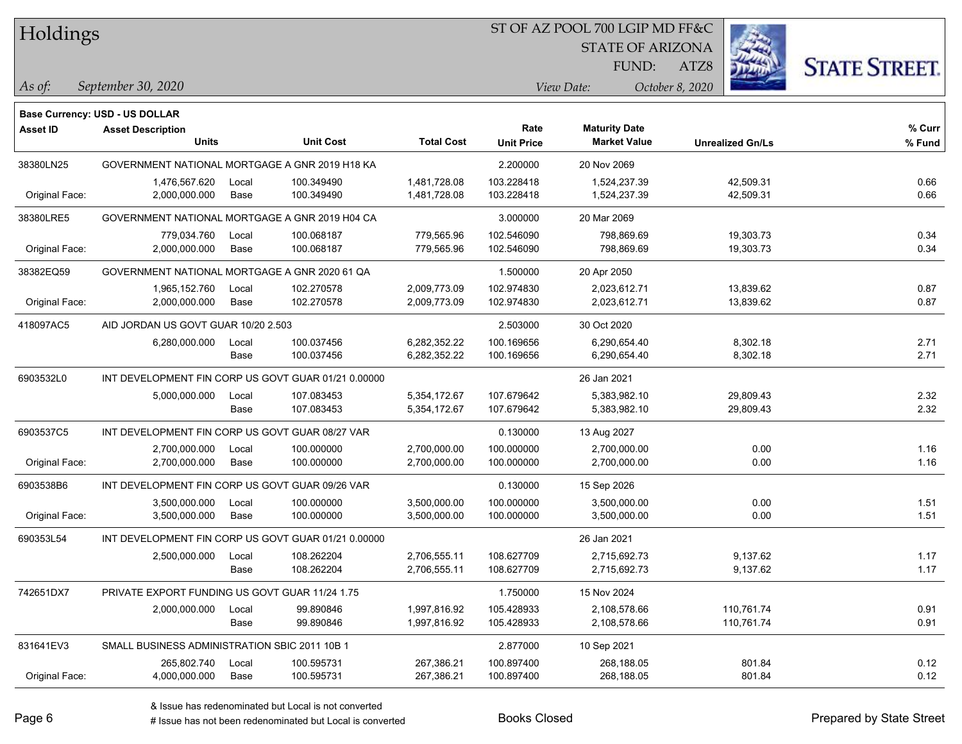Holdings

### ST OF AZ POOL 700 LGIP MD FF&C

STATE OF ARIZONA

FUND:



*September 30, 2020 As of: View Date: October 8, 2020*

ATZ8

|                 | Base Currency: USD - US DOLLAR                      |       |                  |                   |                   |                      |                         |        |
|-----------------|-----------------------------------------------------|-------|------------------|-------------------|-------------------|----------------------|-------------------------|--------|
| <b>Asset ID</b> | <b>Asset Description</b>                            |       |                  |                   | Rate              | <b>Maturity Date</b> |                         | % Curr |
|                 | <b>Units</b>                                        |       | <b>Unit Cost</b> | <b>Total Cost</b> | <b>Unit Price</b> | <b>Market Value</b>  | <b>Unrealized Gn/Ls</b> | % Fund |
| 38380LN25       | GOVERNMENT NATIONAL MORTGAGE A GNR 2019 H18 KA      |       |                  |                   | 2.200000          | 20 Nov 2069          |                         |        |
|                 | 1,476,567.620                                       | Local | 100.349490       | 1,481,728.08      | 103.228418        | 1,524,237.39         | 42,509.31               | 0.66   |
| Original Face:  | 2,000,000.000                                       | Base  | 100.349490       | 1,481,728.08      | 103.228418        | 1,524,237.39         | 42,509.31               | 0.66   |
| 38380LRE5       | GOVERNMENT NATIONAL MORTGAGE A GNR 2019 H04 CA      |       |                  |                   | 3.000000          | 20 Mar 2069          |                         |        |
|                 | 779,034.760                                         | Local | 100.068187       | 779,565.96        | 102.546090        | 798,869.69           | 19,303.73               | 0.34   |
| Original Face:  | 2,000,000.000                                       | Base  | 100.068187       | 779,565.96        | 102.546090        | 798,869.69           | 19,303.73               | 0.34   |
| 38382EQ59       | GOVERNMENT NATIONAL MORTGAGE A GNR 2020 61 QA       |       |                  |                   | 1.500000          | 20 Apr 2050          |                         |        |
|                 | 1,965,152.760                                       | Local | 102.270578       | 2,009,773.09      | 102.974830        | 2,023,612.71         | 13,839.62               | 0.87   |
| Original Face:  | 2,000,000.000                                       | Base  | 102.270578       | 2,009,773.09      | 102.974830        | 2,023,612.71         | 13,839.62               | 0.87   |
| 418097AC5       | AID JORDAN US GOVT GUAR 10/20 2.503                 |       |                  |                   | 2.503000          | 30 Oct 2020          |                         |        |
|                 | 6,280,000.000                                       | Local | 100.037456       | 6,282,352.22      | 100.169656        | 6,290,654.40         | 8,302.18                | 2.71   |
|                 |                                                     | Base  | 100.037456       | 6,282,352.22      | 100.169656        | 6,290,654.40         | 8,302.18                | 2.71   |
| 6903532L0       | INT DEVELOPMENT FIN CORP US GOVT GUAR 01/21 0.00000 |       |                  |                   |                   | 26 Jan 2021          |                         |        |
|                 | 5,000,000.000                                       | Local | 107.083453       | 5,354,172.67      | 107.679642        | 5,383,982.10         | 29,809.43               | 2.32   |
|                 |                                                     | Base  | 107.083453       | 5,354,172.67      | 107.679642        | 5,383,982.10         | 29,809.43               | 2.32   |
| 6903537C5       | INT DEVELOPMENT FIN CORP US GOVT GUAR 08/27 VAR     |       |                  | 0.130000          | 13 Aug 2027       |                      |                         |        |
|                 | 2,700,000.000                                       | Local | 100.000000       | 2,700,000.00      | 100.000000        | 2,700,000.00         | 0.00                    | 1.16   |
| Original Face:  | 2,700,000.000                                       | Base  | 100.000000       | 2,700,000.00      | 100.000000        | 2,700,000.00         | 0.00                    | 1.16   |
| 6903538B6       | INT DEVELOPMENT FIN CORP US GOVT GUAR 09/26 VAR     |       |                  |                   | 0.130000          | 15 Sep 2026          |                         |        |
|                 | 3,500,000.000                                       | Local | 100.000000       | 3,500,000.00      | 100.000000        | 3,500,000.00         | 0.00                    | 1.51   |
| Original Face:  | 3,500,000.000                                       | Base  | 100.000000       | 3,500,000.00      | 100.000000        | 3,500,000.00         | 0.00                    | 1.51   |
| 690353L54       | INT DEVELOPMENT FIN CORP US GOVT GUAR 01/21 0.00000 |       |                  |                   |                   | 26 Jan 2021          |                         |        |
|                 | 2,500,000.000                                       | Local | 108.262204       | 2,706,555.11      | 108.627709        | 2,715,692.73         | 9,137.62                | 1.17   |
|                 |                                                     | Base  | 108.262204       | 2,706,555.11      | 108.627709        | 2,715,692.73         | 9,137.62                | 1.17   |
| 742651DX7       | PRIVATE EXPORT FUNDING US GOVT GUAR 11/24 1.75      |       |                  |                   | 1.750000          | 15 Nov 2024          |                         |        |
|                 | 2,000,000.000                                       | Local | 99.890846        | 1,997,816.92      | 105.428933        | 2,108,578.66         | 110,761.74              | 0.91   |
|                 |                                                     | Base  | 99.890846        | 1,997,816.92      | 105.428933        | 2,108,578.66         | 110,761.74              | 0.91   |
| 831641EV3       | SMALL BUSINESS ADMINISTRATION SBIC 2011 10B 1       |       |                  |                   | 2.877000          | 10 Sep 2021          |                         |        |
|                 | 265,802.740                                         | Local | 100.595731       | 267,386.21        | 100.897400        | 268,188.05           | 801.84                  | 0.12   |
| Original Face:  | 4,000,000.000                                       | Base  | 100.595731       | 267,386.21        | 100.897400        | 268,188.05           | 801.84                  | 0.12   |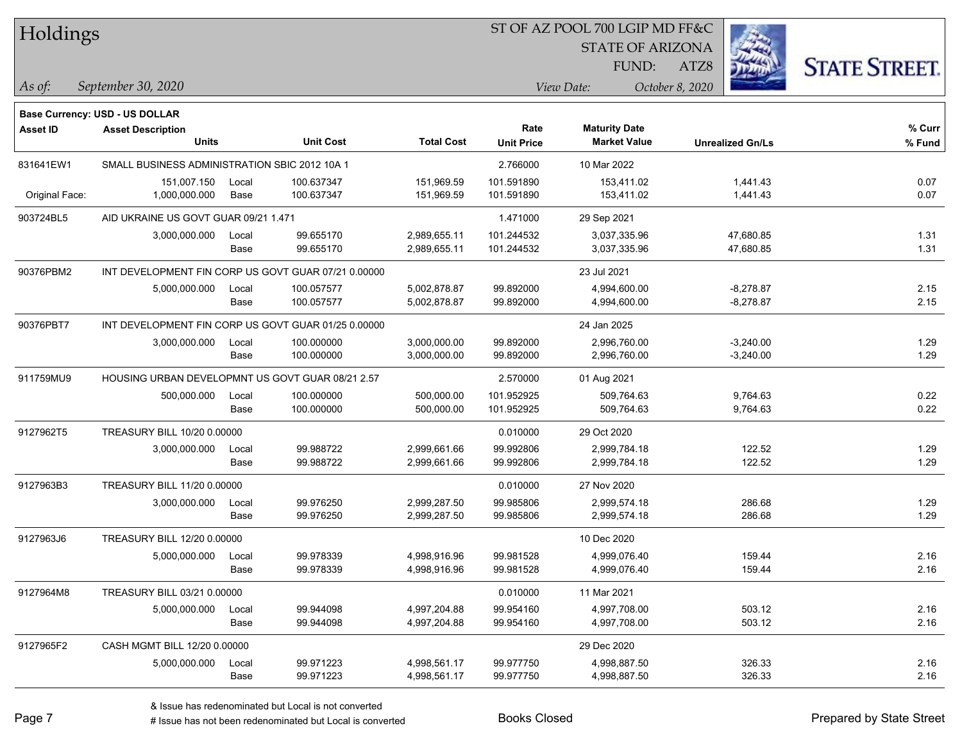| Holdings        |                                                     |       |                  |                   |                   | ST OF AZ POOL 700 LGIP MD FF&C |                         |                      |
|-----------------|-----------------------------------------------------|-------|------------------|-------------------|-------------------|--------------------------------|-------------------------|----------------------|
|                 |                                                     |       |                  |                   |                   | <b>STATE OF ARIZONA</b>        |                         |                      |
|                 |                                                     |       |                  |                   |                   | <b>FUND:</b>                   | ATZ8                    | <b>STATE STREET.</b> |
| As of:          | September 30, 2020                                  |       |                  |                   |                   | View Date:                     | October 8, 2020         |                      |
|                 | <b>Base Currency: USD - US DOLLAR</b>               |       |                  |                   |                   |                                |                         |                      |
| <b>Asset ID</b> | <b>Asset Description</b>                            |       |                  |                   | Rate              | <b>Maturity Date</b>           |                         | % Curr               |
|                 | <b>Units</b>                                        |       | <b>Unit Cost</b> | <b>Total Cost</b> | <b>Unit Price</b> | <b>Market Value</b>            | <b>Unrealized Gn/Ls</b> | % Fund               |
| 831641EW1       | SMALL BUSINESS ADMINISTRATION SBIC 2012 10A 1       |       |                  |                   | 2.766000          | 10 Mar 2022                    |                         |                      |
|                 | 151,007.150                                         | Local | 100.637347       | 151,969.59        | 101.591890        | 153,411.02                     | 1,441.43                | 0.07                 |
| Original Face:  | 1,000,000.000                                       | Base  | 100.637347       | 151,969.59        | 101.591890        | 153,411.02                     | 1,441.43                | 0.07                 |
| 903724BL5       | AID UKRAINE US GOVT GUAR 09/21 1.471                |       |                  |                   | 1.471000          | 29 Sep 2021                    |                         |                      |
|                 | 3,000,000.000                                       | Local | 99.655170        | 2,989,655.11      | 101.244532        | 3,037,335.96                   | 47,680.85               | 1.31                 |
|                 |                                                     | Base  | 99.655170        | 2,989,655.11      | 101.244532        | 3,037,335.96                   | 47,680.85               | 1.31                 |
| 90376PBM2       | INT DEVELOPMENT FIN CORP US GOVT GUAR 07/21 0.00000 |       |                  |                   |                   | 23 Jul 2021                    |                         |                      |
|                 | 5,000,000.000                                       | Local | 100.057577       | 5,002,878.87      | 99.892000         | 4,994,600.00                   | $-8,278.87$             | 2.15                 |
|                 |                                                     | Base  | 100.057577       | 5,002,878.87      | 99.892000         | 4,994,600.00                   | $-8,278.87$             | 2.15                 |
| 90376PBT7       | INT DEVELOPMENT FIN CORP US GOVT GUAR 01/25 0.00000 |       |                  |                   |                   | 24 Jan 2025                    |                         |                      |
|                 | 3,000,000.000                                       | Local | 100.000000       | 3,000,000.00      | 99.892000         | 2,996,760.00                   | $-3,240.00$             | 1.29                 |
|                 |                                                     | Base  | 100.000000       | 3,000,000.00      | 99.892000         | 2,996,760.00                   | $-3,240.00$             | 1.29                 |
| 911759MU9       | HOUSING URBAN DEVELOPMNT US GOVT GUAR 08/21 2.57    |       |                  |                   | 2.570000          | 01 Aug 2021                    |                         |                      |
|                 | 500,000.000                                         | Local | 100.000000       | 500,000.00        | 101.952925        | 509,764.63                     | 9,764.63                | 0.22                 |
|                 |                                                     | Base  | 100.000000       | 500,000.00        | 101.952925        | 509,764.63                     | 9,764.63                | 0.22                 |
| 9127962T5       | TREASURY BILL 10/20 0.00000                         |       |                  |                   | 0.010000          | 29 Oct 2020                    |                         |                      |
|                 | 3,000,000.000                                       | Local | 99.988722        | 2,999,661.66      | 99.992806         | 2,999,784.18                   | 122.52                  | 1.29                 |
|                 |                                                     | Base  | 99.988722        | 2,999,661.66      | 99.992806         | 2,999,784.18                   | 122.52                  | 1.29                 |
| 9127963B3       | TREASURY BILL 11/20 0.00000                         |       |                  |                   | 0.010000          | 27 Nov 2020                    |                         |                      |
|                 | 3,000,000.000                                       | Local | 99.976250        | 2,999,287.50      | 99.985806         | 2,999,574.18                   | 286.68                  | 1.29                 |
|                 |                                                     | Base  | 99.976250        | 2,999,287.50      | 99.985806         | 2,999,574.18                   | 286.68                  | 1.29                 |
| 9127963J6       | TREASURY BILL 12/20 0.00000                         |       |                  |                   |                   | 10 Dec 2020                    |                         |                      |
|                 | 5,000,000.000                                       | Local | 99.978339        | 4,998,916.96      | 99.981528         | 4,999,076.40                   | 159.44                  | 2.16                 |
|                 |                                                     | Base  | 99.978339        | 4,998,916.96      | 99.981528         | 4,999,076.40                   | 159.44                  | 2.16                 |
| 9127964M8       | TREASURY BILL 03/21 0.00000                         |       |                  |                   | 0.010000          | 11 Mar 2021                    |                         |                      |
|                 | 5,000,000.000                                       | Local | 99.944098        | 4,997,204.88      | 99.954160         | 4,997,708.00                   | 503.12                  | 2.16                 |
|                 |                                                     | Base  | 99.944098        | 4,997,204.88      | 99.954160         | 4,997,708.00                   | 503.12                  | 2.16                 |
| 9127965F2       | CASH MGMT BILL 12/20 0.00000                        |       |                  |                   |                   | 29 Dec 2020                    |                         |                      |
|                 | 5,000,000.000                                       | Local | 99.971223        | 4,998,561.17      | 99.977750         | 4,998,887.50                   | 326.33                  | 2.16                 |
|                 |                                                     | Base  | 99.971223        | 4,998,561.17      | 99.977750         | 4,998,887.50                   | 326.33                  | 2.16                 |

 $\overline{\phantom{0}}$ 

 $\overline{\phantom{0}}$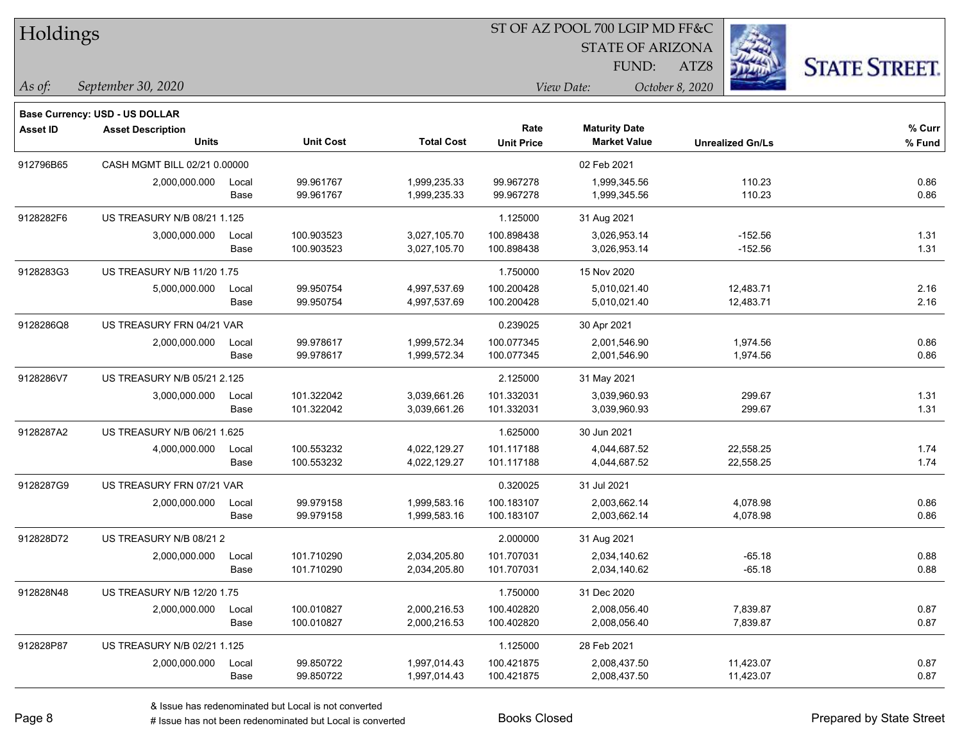| Holdings        |                                |       |                  |                   | ST OF AZ POOL 700 LGIP MD FF&C |                         |                         |                      |  |
|-----------------|--------------------------------|-------|------------------|-------------------|--------------------------------|-------------------------|-------------------------|----------------------|--|
|                 |                                |       |                  |                   |                                | <b>STATE OF ARIZONA</b> |                         |                      |  |
|                 |                                |       |                  |                   |                                | FUND:                   | 缀<br>ATZ8               | <b>STATE STREET.</b> |  |
| As of:          | September 30, 2020             |       |                  |                   |                                | View Date:              | October 8, 2020         |                      |  |
|                 | Base Currency: USD - US DOLLAR |       |                  |                   |                                |                         |                         |                      |  |
| <b>Asset ID</b> | <b>Asset Description</b>       |       |                  |                   | Rate                           | <b>Maturity Date</b>    |                         | % Curr               |  |
|                 | <b>Units</b>                   |       | <b>Unit Cost</b> | <b>Total Cost</b> | <b>Unit Price</b>              | <b>Market Value</b>     | <b>Unrealized Gn/Ls</b> | % Fund               |  |
| 912796B65       | CASH MGMT BILL 02/21 0.00000   |       |                  |                   |                                | 02 Feb 2021             |                         |                      |  |
|                 | 2,000,000.000                  | Local | 99.961767        | 1,999,235.33      | 99.967278                      | 1,999,345.56            | 110.23                  | 0.86                 |  |
|                 |                                | Base  | 99.961767        | 1,999,235.33      | 99.967278                      | 1,999,345.56            | 110.23                  | 0.86                 |  |
| 9128282F6       | US TREASURY N/B 08/21 1.125    |       |                  |                   | 1.125000                       | 31 Aug 2021             |                         |                      |  |
|                 | 3,000,000.000                  | Local | 100.903523       | 3,027,105.70      | 100.898438                     | 3,026,953.14            | $-152.56$               | 1.31                 |  |
|                 |                                | Base  | 100.903523       | 3,027,105.70      | 100.898438                     | 3,026,953.14            | $-152.56$               | 1.31                 |  |
| 9128283G3       | US TREASURY N/B 11/20 1.75     |       |                  |                   | 1.750000                       | 15 Nov 2020             |                         |                      |  |
|                 | 5,000,000.000                  | Local | 99.950754        | 4,997,537.69      | 100.200428                     | 5,010,021.40            | 12,483.71               | 2.16                 |  |
|                 |                                | Base  | 99.950754        | 4,997,537.69      | 100.200428                     | 5,010,021.40            | 12,483.71               | 2.16                 |  |
| 9128286Q8       | US TREASURY FRN 04/21 VAR      |       |                  |                   | 0.239025                       | 30 Apr 2021             |                         |                      |  |
|                 | 2,000,000.000                  | Local | 99.978617        | 1,999,572.34      | 100.077345                     | 2,001,546.90            | 1,974.56                | 0.86                 |  |
|                 |                                | Base  | 99.978617        | 1,999,572.34      | 100.077345                     | 2,001,546.90            | 1,974.56                | 0.86                 |  |
| 9128286V7       | US TREASURY N/B 05/21 2.125    |       |                  |                   | 2.125000                       | 31 May 2021             |                         |                      |  |
|                 | 3,000,000.000                  | Local | 101.322042       | 3,039,661.26      | 101.332031                     | 3,039,960.93            | 299.67                  | 1.31                 |  |
|                 |                                | Base  | 101.322042       | 3,039,661.26      | 101.332031                     | 3,039,960.93            | 299.67                  | 1.31                 |  |
| 9128287A2       | US TREASURY N/B 06/21 1.625    |       |                  |                   | 1.625000                       | 30 Jun 2021             |                         |                      |  |
|                 | 4,000,000.000                  | Local | 100.553232       | 4,022,129.27      | 101.117188                     | 4,044,687.52            | 22,558.25               | 1.74                 |  |
|                 |                                | Base  | 100.553232       | 4,022,129.27      | 101.117188                     | 4,044,687.52            | 22,558.25               | 1.74                 |  |
| 9128287G9       | US TREASURY FRN 07/21 VAR      |       |                  |                   | 0.320025                       | 31 Jul 2021             |                         |                      |  |
|                 | 2,000,000.000                  | Local | 99.979158        | 1,999,583.16      | 100.183107                     | 2,003,662.14            | 4,078.98                | 0.86                 |  |
|                 |                                | Base  | 99.979158        | 1,999,583.16      | 100.183107                     | 2,003,662.14            | 4,078.98                | 0.86                 |  |
| 912828D72       | US TREASURY N/B 08/21 2        |       |                  |                   | 2.000000                       | 31 Aug 2021             |                         |                      |  |
|                 | 2,000,000.000                  | Local | 101.710290       | 2,034,205.80      | 101.707031                     | 2,034,140.62            | $-65.18$                | 0.88                 |  |
|                 |                                | Base  | 101.710290       | 2,034,205.80      | 101.707031                     | 2,034,140.62            | $-65.18$                | 0.88                 |  |
| 912828N48       | US TREASURY N/B 12/20 1.75     |       |                  |                   | 1.750000                       | 31 Dec 2020             |                         |                      |  |
|                 | 2,000,000.000                  | Local | 100.010827       | 2,000,216.53      | 100.402820                     | 2,008,056.40            | 7,839.87                | 0.87                 |  |
|                 |                                | Base  | 100.010827       | 2,000,216.53      | 100.402820                     | 2,008,056.40            | 7,839.87                | 0.87                 |  |
| 912828P87       | US TREASURY N/B 02/21 1.125    |       |                  |                   | 1.125000                       | 28 Feb 2021             |                         |                      |  |
|                 | 2,000,000.000                  | Local | 99.850722        | 1,997,014.43      | 100.421875                     | 2,008,437.50            | 11,423.07               | 0.87                 |  |
|                 |                                | Base  | 99.850722        | 1,997,014.43      | 100.421875                     | 2,008,437.50            | 11,423.07               | 0.87                 |  |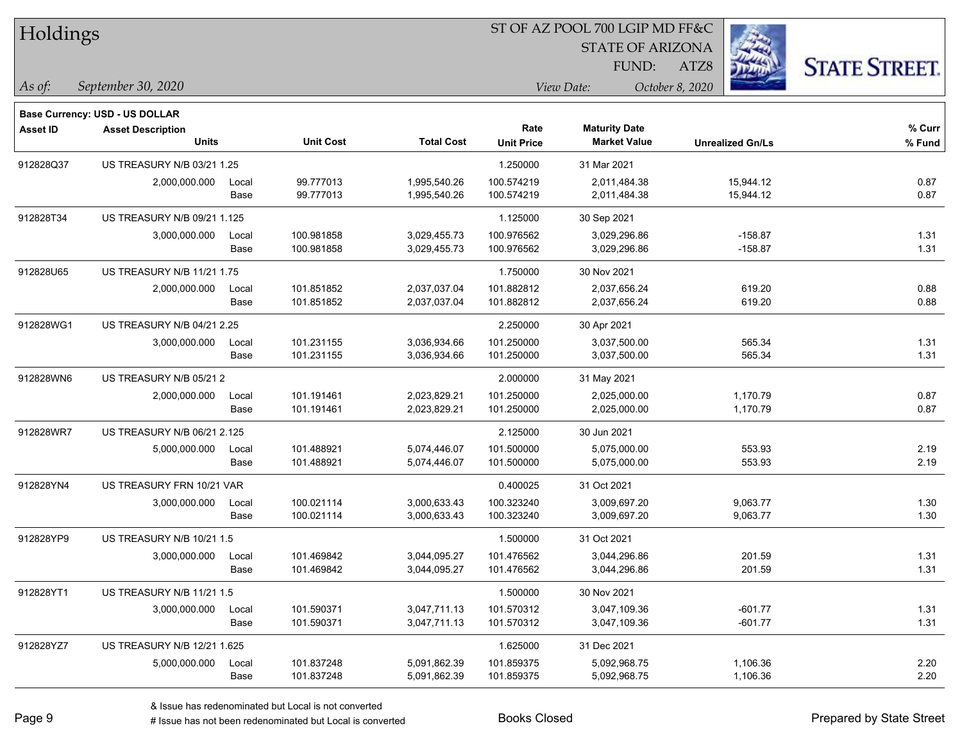| Holdings        |                                       |       |                  |                   | ST OF AZ POOL 700 LGIP MD FF&C |                         |                         |                      |  |
|-----------------|---------------------------------------|-------|------------------|-------------------|--------------------------------|-------------------------|-------------------------|----------------------|--|
|                 |                                       |       |                  |                   |                                | <b>STATE OF ARIZONA</b> |                         |                      |  |
|                 |                                       |       |                  |                   |                                | FUND:                   | ATZ8                    | <b>STATE STREET.</b> |  |
| As of:          | September 30, 2020                    |       |                  |                   |                                | View Date:              | October 8, 2020         |                      |  |
|                 | <b>Base Currency: USD - US DOLLAR</b> |       |                  |                   |                                |                         |                         |                      |  |
| <b>Asset ID</b> | <b>Asset Description</b>              |       |                  |                   | Rate                           | <b>Maturity Date</b>    |                         | % Curr               |  |
|                 | <b>Units</b>                          |       | <b>Unit Cost</b> | <b>Total Cost</b> | <b>Unit Price</b>              | <b>Market Value</b>     | <b>Unrealized Gn/Ls</b> | % Fund               |  |
| 912828Q37       | US TREASURY N/B 03/21 1.25            |       |                  |                   | 1.250000                       | 31 Mar 2021             |                         |                      |  |
|                 | 2,000,000.000                         | Local | 99.777013        | 1,995,540.26      | 100.574219                     | 2,011,484.38            | 15,944.12               | 0.87                 |  |
|                 |                                       | Base  | 99.777013        | 1,995,540.26      | 100.574219                     | 2,011,484.38            | 15,944.12               | 0.87                 |  |
| 912828T34       | US TREASURY N/B 09/21 1.125           |       |                  |                   | 1.125000                       | 30 Sep 2021             |                         |                      |  |
|                 | 3,000,000.000                         | Local | 100.981858       | 3,029,455.73      | 100.976562                     | 3,029,296.86            | $-158.87$               | 1.31                 |  |
|                 |                                       | Base  | 100.981858       | 3,029,455.73      | 100.976562                     | 3,029,296.86            | $-158.87$               | 1.31                 |  |
| 912828U65       | US TREASURY N/B 11/21 1.75            |       |                  |                   | 1.750000                       | 30 Nov 2021             |                         |                      |  |
|                 | 2,000,000.000                         | Local | 101.851852       | 2,037,037.04      | 101.882812                     | 2,037,656.24            | 619.20                  | 0.88                 |  |
|                 |                                       | Base  | 101.851852       | 2,037,037.04      | 101.882812                     | 2,037,656.24            | 619.20                  | 0.88                 |  |
| 912828WG1       | US TREASURY N/B 04/21 2.25            |       |                  |                   | 2.250000                       | 30 Apr 2021             |                         |                      |  |
|                 | 3,000,000.000                         | Local | 101.231155       | 3,036,934.66      | 101.250000                     | 3,037,500.00            | 565.34                  | 1.31                 |  |
|                 |                                       | Base  | 101.231155       | 3.036,934.66      | 101.250000                     | 3,037,500.00            | 565.34                  | 1.31                 |  |
| 912828WN6       | US TREASURY N/B 05/21 2               |       |                  |                   | 2.000000                       | 31 May 2021             |                         |                      |  |
|                 | 2,000,000.000                         | Local | 101.191461       | 2,023,829.21      | 101.250000                     | 2,025,000.00            | 1,170.79                | 0.87                 |  |
|                 |                                       | Base  | 101.191461       | 2,023,829.21      | 101.250000                     | 2,025,000.00            | 1,170.79                | 0.87                 |  |
| 912828WR7       | US TREASURY N/B 06/21 2.125           |       |                  |                   | 2.125000                       | 30 Jun 2021             |                         |                      |  |
|                 | 5,000,000.000                         | Local | 101.488921       | 5,074,446.07      | 101.500000                     | 5,075,000.00            | 553.93                  | 2.19                 |  |
|                 |                                       | Base  | 101.488921       | 5,074,446.07      | 101.500000                     | 5,075,000.00            | 553.93                  | 2.19                 |  |
| 912828YN4       | US TREASURY FRN 10/21 VAR             |       |                  |                   | 0.400025                       | 31 Oct 2021             |                         |                      |  |
|                 | 3,000,000.000                         | Local | 100.021114       | 3,000,633.43      | 100.323240                     | 3,009,697.20            | 9,063.77                | 1.30                 |  |
|                 |                                       | Base  | 100.021114       | 3,000,633.43      | 100.323240                     | 3,009,697.20            | 9,063.77                | 1.30                 |  |
| 912828YP9       | US TREASURY N/B 10/21 1.5             |       |                  |                   | 1.500000                       | 31 Oct 2021             |                         |                      |  |
|                 | 3,000,000.000                         | Local | 101.469842       | 3,044,095.27      | 101.476562                     | 3,044,296.86            | 201.59                  | 1.31                 |  |
|                 |                                       | Base  | 101.469842       | 3,044,095.27      | 101.476562                     | 3,044,296.86            | 201.59                  | 1.31                 |  |
| 912828YT1       | US TREASURY N/B 11/21 1.5             |       |                  |                   | 1.500000                       | 30 Nov 2021             |                         |                      |  |
|                 | 3,000,000.000                         | Local | 101.590371       | 3,047,711.13      | 101.570312                     | 3,047,109.36            | $-601.77$               | 1.31                 |  |
|                 |                                       | Base  | 101.590371       | 3,047,711.13      | 101.570312                     | 3,047,109.36            | $-601.77$               | 1.31                 |  |
| 912828YZ7       | US TREASURY N/B 12/21 1.625           |       |                  |                   | 1.625000                       | 31 Dec 2021             |                         |                      |  |
|                 | 5,000,000.000                         | Local | 101.837248       | 5,091,862.39      | 101.859375                     | 5,092,968.75            | 1,106.36                | 2.20                 |  |
|                 |                                       | Base  | 101.837248       | 5,091,862.39      | 101.859375                     | 5,092,968.75            | 1,106.36                | 2.20                 |  |

 $\overline{\phantom{0}}$ 

 $\overline{\phantom{a}}$ 

 $\overline{\phantom{0}}$ 

 $\overline{\phantom{a}}$ 

 $\overline{\phantom{0}}$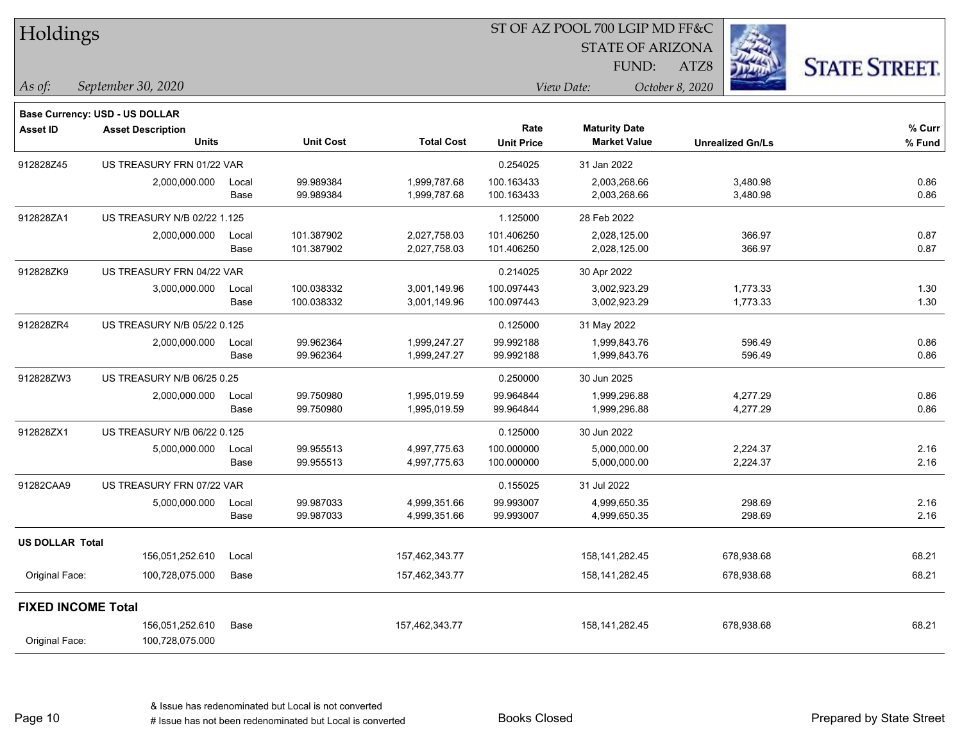| Holdings               |                                          |       |                  |                   |                   | ST OF AZ POOL 700 LGIP MD FF&C              |                         |                      |  |
|------------------------|------------------------------------------|-------|------------------|-------------------|-------------------|---------------------------------------------|-------------------------|----------------------|--|
|                        |                                          |       |                  |                   |                   | <b>STATE OF ARIZONA</b>                     |                         |                      |  |
|                        |                                          |       |                  |                   |                   | FUND:                                       | ATZ8                    | <b>STATE STREET.</b> |  |
| $\vert$ As of:         | September 30, 2020                       |       |                  |                   |                   | View Date:                                  | October 8, 2020         |                      |  |
|                        |                                          |       |                  |                   |                   |                                             |                         |                      |  |
| <b>Asset ID</b>        | <b>Base Currency: USD - US DOLLAR</b>    |       |                  |                   | Rate              |                                             |                         | % Curr               |  |
|                        | <b>Asset Description</b><br><b>Units</b> |       | <b>Unit Cost</b> | <b>Total Cost</b> | <b>Unit Price</b> | <b>Maturity Date</b><br><b>Market Value</b> | <b>Unrealized Gn/Ls</b> | % Fund               |  |
| 912828Z45              | US TREASURY FRN 01/22 VAR                |       |                  |                   | 0.254025          | 31 Jan 2022                                 |                         |                      |  |
|                        | 2,000,000.000                            | Local | 99.989384        | 1,999,787.68      | 100.163433        | 2,003,268.66                                | 3,480.98                | 0.86                 |  |
|                        |                                          | Base  | 99.989384        | 1,999,787.68      | 100.163433        | 2,003,268.66                                | 3,480.98                | 0.86                 |  |
| 912828ZA1              | US TREASURY N/B 02/22 1.125              |       |                  |                   | 1.125000          | 28 Feb 2022                                 |                         |                      |  |
|                        | 2,000,000.000                            | Local | 101.387902       | 2,027,758.03      | 101.406250        | 2,028,125.00                                | 366.97                  | 0.87                 |  |
|                        |                                          | Base  | 101.387902       | 2,027,758.03      | 101.406250        | 2,028,125.00                                | 366.97                  | 0.87                 |  |
| 912828ZK9              | US TREASURY FRN 04/22 VAR                |       |                  |                   | 0.214025          | 30 Apr 2022                                 |                         |                      |  |
|                        | 3,000,000.000                            | Local | 100.038332       | 3,001,149.96      | 100.097443        | 3,002,923.29                                | 1,773.33                | 1.30                 |  |
|                        |                                          | Base  | 100.038332       | 3,001,149.96      | 100.097443        | 3,002,923.29                                | 1,773.33                | 1.30                 |  |
| 912828ZR4              | US TREASURY N/B 05/22 0.125              |       |                  |                   | 0.125000          | 31 May 2022                                 |                         |                      |  |
|                        | 2,000,000.000                            | Local | 99.962364        | 1,999,247.27      | 99.992188         | 1,999,843.76                                | 596.49                  | 0.86                 |  |
|                        |                                          | Base  | 99.962364        | 1,999,247.27      | 99.992188         | 1,999,843.76                                | 596.49                  | 0.86                 |  |
| 912828ZW3              | US TREASURY N/B 06/25 0.25               |       |                  |                   | 0.250000          | 30 Jun 2025                                 |                         |                      |  |
|                        | 2,000,000.000                            | Local | 99.750980        | 1,995,019.59      | 99.964844         | 1,999,296.88                                | 4,277.29                | 0.86                 |  |
|                        |                                          | Base  | 99.750980        | 1,995,019.59      | 99.964844         | 1,999,296.88                                | 4,277.29                | 0.86                 |  |
| 912828ZX1              | US TREASURY N/B 06/22 0.125              |       |                  |                   | 0.125000          | 30 Jun 2022                                 |                         |                      |  |
|                        | 5,000,000.000                            | Local | 99.955513        | 4,997,775.63      | 100.000000        | 5,000,000.00                                | 2,224.37                | 2.16                 |  |
|                        |                                          | Base  | 99.955513        | 4,997,775.63      | 100.000000        | 5,000,000.00                                | 2,224.37                | 2.16                 |  |
| 91282CAA9              | US TREASURY FRN 07/22 VAR                |       |                  |                   | 0.155025          | 31 Jul 2022                                 |                         |                      |  |
|                        | 5,000,000.000                            | Local | 99.987033        | 4,999,351.66      | 99.993007         | 4,999,650.35                                | 298.69                  | 2.16                 |  |
|                        |                                          | Base  | 99.987033        | 4,999,351.66      | 99.993007         | 4,999,650.35                                | 298.69                  | 2.16                 |  |
| <b>US DOLLAR Total</b> |                                          |       |                  |                   |                   |                                             |                         |                      |  |
|                        | 156,051,252.610                          | Local |                  | 157,462,343.77    |                   | 158, 141, 282. 45                           | 678,938.68              | 68.21                |  |
| Original Face:         | 100,728,075.000                          | Base  |                  | 157,462,343.77    |                   | 158, 141, 282. 45                           | 678,938.68              | 68.21                |  |
|                        | <b>FIXED INCOME Total</b>                |       |                  |                   |                   |                                             |                         |                      |  |
|                        | 156,051,252.610                          | Base  |                  | 157,462,343.77    |                   | 158,141,282.45                              | 678,938.68              | 68.21                |  |
| Original Face:         | 100,728,075.000                          |       |                  |                   |                   |                                             |                         |                      |  |

Page 10

П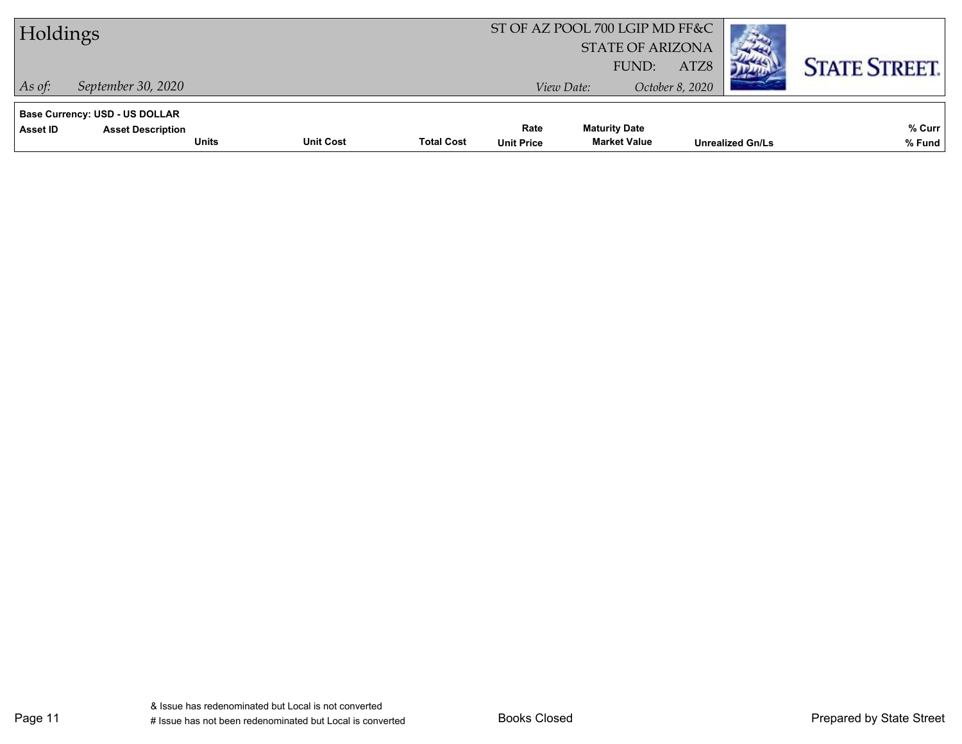| Holdings                                                                               |                  |                   |                           | ST OF AZ POOL 700 LGIP MD FF&C<br><b>STATE OF ARIZONA</b> |                         |                         |                      |
|----------------------------------------------------------------------------------------|------------------|-------------------|---------------------------|-----------------------------------------------------------|-------------------------|-------------------------|----------------------|
| September 30, 2020<br>$\vert$ As of:                                                   |                  |                   |                           | FUND:<br>View Date:                                       | ATZ8<br>October 8, 2020 |                         | <b>STATE STREET.</b> |
| Base Currency: USD - US DOLLAR<br><b>Asset Description</b><br>Asset ID<br><b>Units</b> | <b>Unit Cost</b> | <b>Total Cost</b> | Rate<br><b>Unit Price</b> | <b>Maturity Date</b><br><b>Market Value</b>               |                         | <b>Unrealized Gn/Ls</b> | % Curr<br>% Fund     |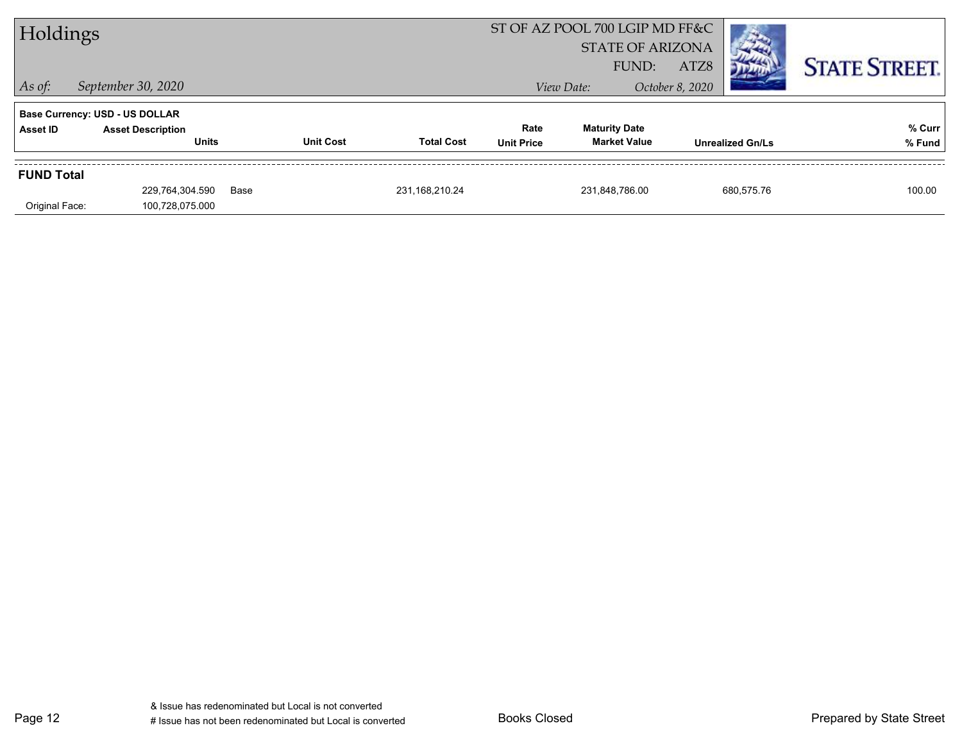| Holdings          |                                       |                  |                   | ST OF AZ POOL 700 LGIP MD FF&C |                                  |                         |                      |
|-------------------|---------------------------------------|------------------|-------------------|--------------------------------|----------------------------------|-------------------------|----------------------|
|                   |                                       |                  |                   |                                | <b>STATE OF ARIZONA</b><br>FUND: | ATZ8                    | <b>STATE STREET.</b> |
| $ $ As of:        | September 30, 2020                    |                  |                   |                                | View Date:                       | October 8, 2020         |                      |
|                   | <b>Base Currency: USD - US DOLLAR</b> |                  |                   |                                |                                  |                         |                      |
| <b>Asset ID</b>   | <b>Asset Description</b>              |                  |                   | Rate                           | <b>Maturity Date</b>             |                         | % Curr               |
|                   | <b>Units</b>                          | <b>Unit Cost</b> | <b>Total Cost</b> | <b>Unit Price</b>              | <b>Market Value</b>              | <b>Unrealized Gn/Ls</b> | % Fund               |
| <b>FUND Total</b> |                                       |                  |                   |                                |                                  |                         |                      |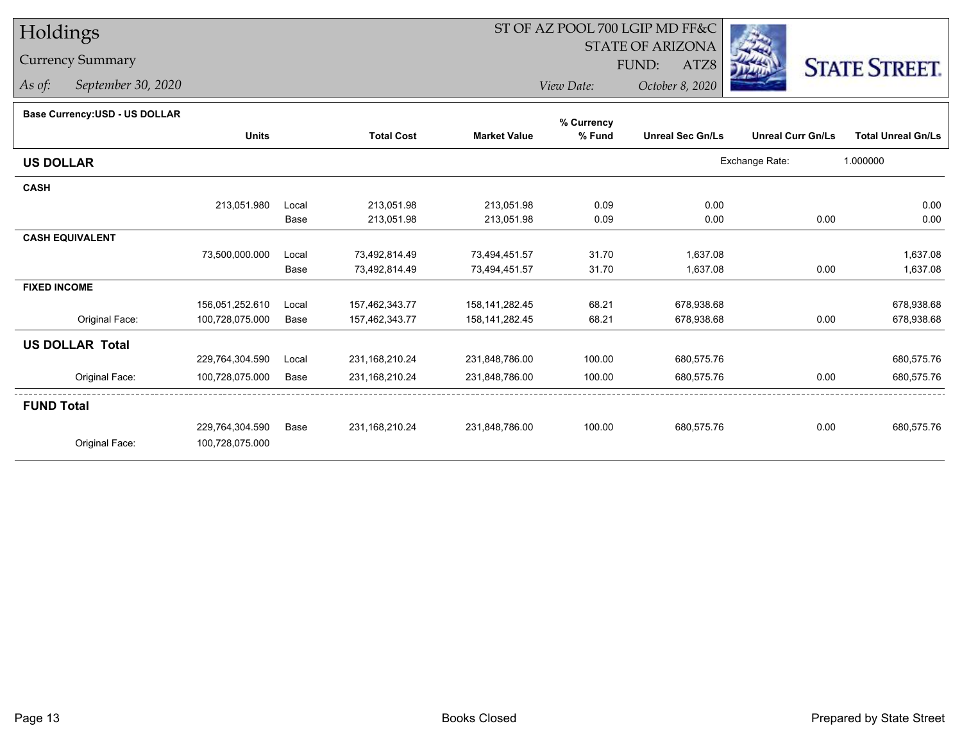# Holdings

## Currency Summary

*As of: September 30, 2020*

## ST OF AZ POOL 700 LGIP MD FF&C

STATE OF ARIZONA

ATZ8



*View Date: October 8, 2020*FUND:

#### **Base Currency:USD - US DOLLAR**

|                        |                 |       |                   |                     | % Currency |                         |                          |                           |
|------------------------|-----------------|-------|-------------------|---------------------|------------|-------------------------|--------------------------|---------------------------|
|                        | <b>Units</b>    |       | <b>Total Cost</b> | <b>Market Value</b> | % Fund     | <b>Unreal Sec Gn/Ls</b> | <b>Unreal Curr Gn/Ls</b> | <b>Total Unreal Gn/Ls</b> |
| <b>US DOLLAR</b>       |                 |       |                   |                     |            |                         | Exchange Rate:           | 1.000000                  |
| <b>CASH</b>            |                 |       |                   |                     |            |                         |                          |                           |
|                        | 213,051.980     | Local | 213,051.98        | 213,051.98          | 0.09       | 0.00                    |                          | 0.00                      |
|                        |                 | Base  | 213,051.98        | 213,051.98          | 0.09       | 0.00                    | 0.00                     | 0.00                      |
| <b>CASH EQUIVALENT</b> |                 |       |                   |                     |            |                         |                          |                           |
|                        | 73,500,000.000  | Local | 73,492,814.49     | 73,494,451.57       | 31.70      | 1,637.08                |                          | 1,637.08                  |
|                        |                 | Base  | 73,492,814.49     | 73,494,451.57       | 31.70      | 1,637.08                | 0.00                     | 1,637.08                  |
| <b>FIXED INCOME</b>    |                 |       |                   |                     |            |                         |                          |                           |
|                        | 156,051,252.610 | Local | 157,462,343.77    | 158, 141, 282. 45   | 68.21      | 678,938.68              |                          | 678,938.68                |
| Original Face:         | 100,728,075.000 | Base  | 157,462,343.77    | 158, 141, 282. 45   | 68.21      | 678,938.68              | 0.00                     | 678,938.68                |
| <b>US DOLLAR Total</b> |                 |       |                   |                     |            |                         |                          |                           |
|                        | 229,764,304.590 | Local | 231,168,210.24    | 231,848,786.00      | 100.00     | 680,575.76              |                          | 680,575.76                |
| Original Face:         | 100,728,075.000 | Base  | 231, 168, 210. 24 | 231,848,786.00      | 100.00     | 680,575.76              | 0.00                     | 680,575.76                |
| <b>FUND Total</b>      |                 |       |                   |                     |            |                         |                          |                           |
|                        | 229,764,304.590 | Base  | 231,168,210.24    | 231,848,786.00      | 100.00     | 680,575.76              | 0.00                     | 680,575.76                |
| Original Face:         | 100,728,075.000 |       |                   |                     |            |                         |                          |                           |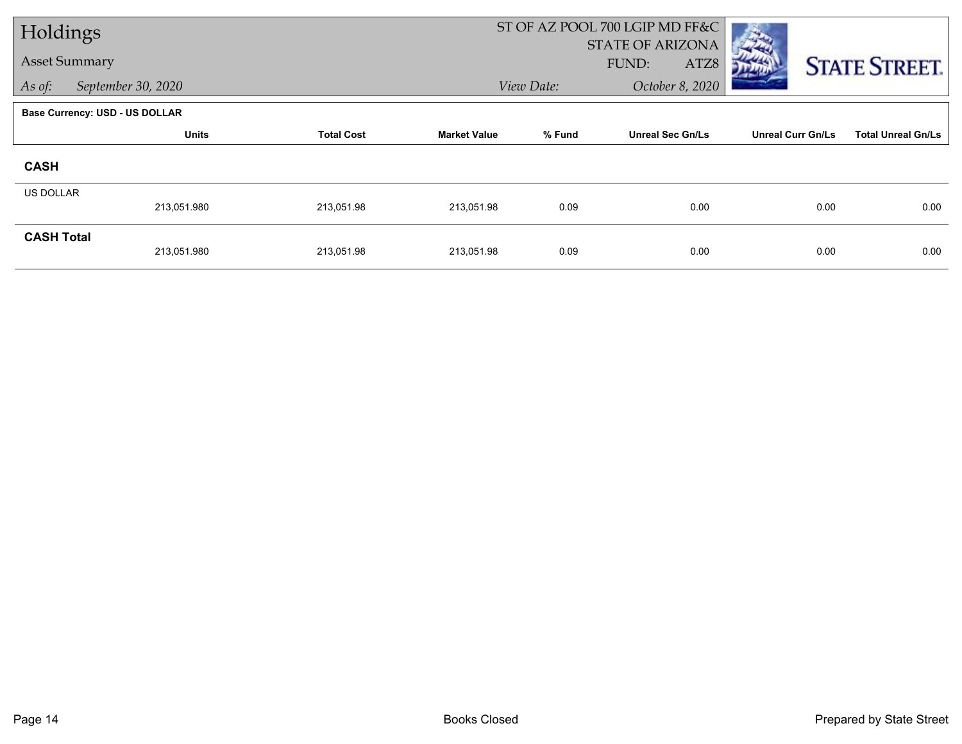| Holdings                       |                    |                   |                     |                                   | ST OF AZ POOL 700 LGIP MD FF&C |                          |                           |
|--------------------------------|--------------------|-------------------|---------------------|-----------------------------------|--------------------------------|--------------------------|---------------------------|
|                                |                    |                   |                     |                                   | <b>STATE OF ARIZONA</b>        |                          |                           |
| <b>Asset Summary</b>           |                    |                   |                     |                                   | FUND:<br>ATZ8                  |                          | <b>STATE STREET.</b>      |
| As of:                         | September 30, 2020 |                   |                     | View Date:                        | October 8, 2020                |                          |                           |
| Base Currency: USD - US DOLLAR |                    |                   |                     |                                   |                                |                          |                           |
|                                | <b>Units</b>       | <b>Total Cost</b> | <b>Market Value</b> | % Fund<br><b>Unreal Sec Gn/Ls</b> |                                | <b>Unreal Curr Gn/Ls</b> | <b>Total Unreal Gn/Ls</b> |
| <b>CASH</b>                    |                    |                   |                     |                                   |                                |                          |                           |
| US DOLLAR                      |                    |                   |                     |                                   |                                |                          |                           |
|                                | 213,051.980        | 213,051.98        | 213,051.98          | 0.09                              | 0.00                           | 0.00                     | 0.00                      |
| <b>CASH Total</b>              |                    |                   |                     |                                   |                                |                          |                           |
|                                | 213,051.980        | 213,051.98        | 213,051.98          | 0.09                              | 0.00                           | 0.00                     | 0.00                      |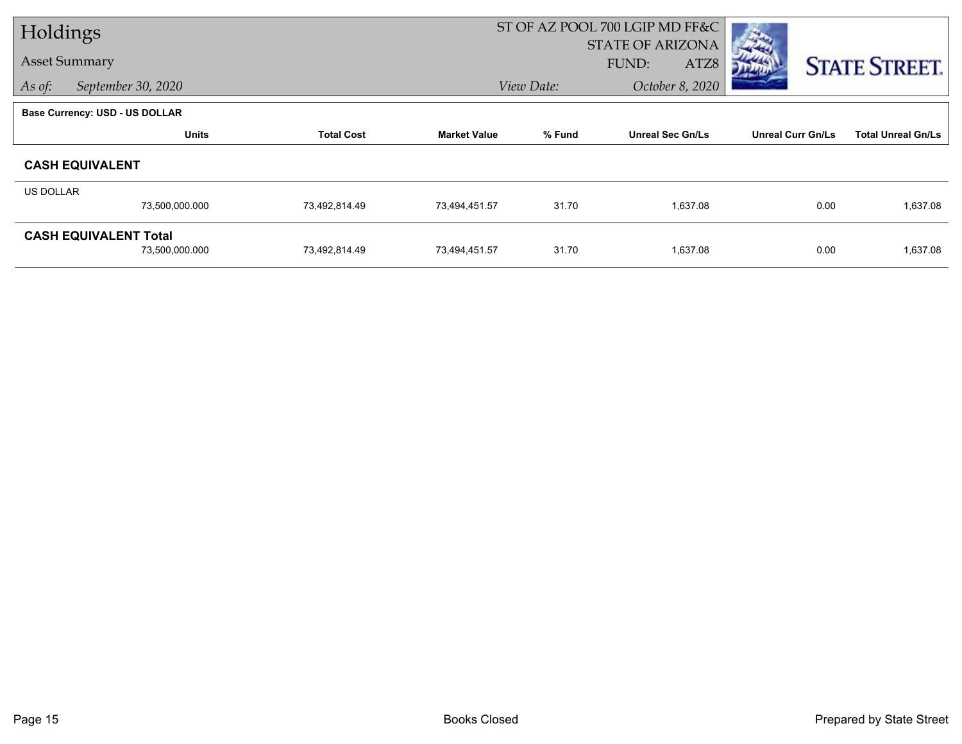| Holdings         |                                       |                   |                     |                                   | ST OF AZ POOL 700 LGIP MD FF&C |                          |                           |  |
|------------------|---------------------------------------|-------------------|---------------------|-----------------------------------|--------------------------------|--------------------------|---------------------------|--|
|                  |                                       |                   |                     |                                   | <b>STATE OF ARIZONA</b>        |                          |                           |  |
|                  | <b>Asset Summary</b>                  |                   |                     |                                   | ATZ8<br>FUND:                  |                          | <b>STATE STREET.</b>      |  |
| As of:           | September 30, 2020                    |                   |                     | View Date:                        | October 8, 2020                |                          |                           |  |
|                  | <b>Base Currency: USD - US DOLLAR</b> |                   |                     |                                   |                                |                          |                           |  |
|                  | <b>Units</b>                          | <b>Total Cost</b> | <b>Market Value</b> | % Fund<br><b>Unreal Sec Gn/Ls</b> |                                | <b>Unreal Curr Gn/Ls</b> | <b>Total Unreal Gn/Ls</b> |  |
|                  | <b>CASH EQUIVALENT</b>                |                   |                     |                                   |                                |                          |                           |  |
| <b>US DOLLAR</b> |                                       |                   |                     |                                   |                                |                          |                           |  |
|                  | 73,500,000.000                        | 73,492,814.49     | 73,494,451.57       | 31.70                             | 1,637.08                       | 0.00                     | 1,637.08                  |  |
|                  | <b>CASH EQUIVALENT Total</b>          |                   |                     |                                   |                                |                          |                           |  |
|                  | 73,500,000.000                        | 73,492,814.49     | 73,494,451.57       | 31.70                             | 1,637.08                       | 0.00                     | 1,637.08                  |  |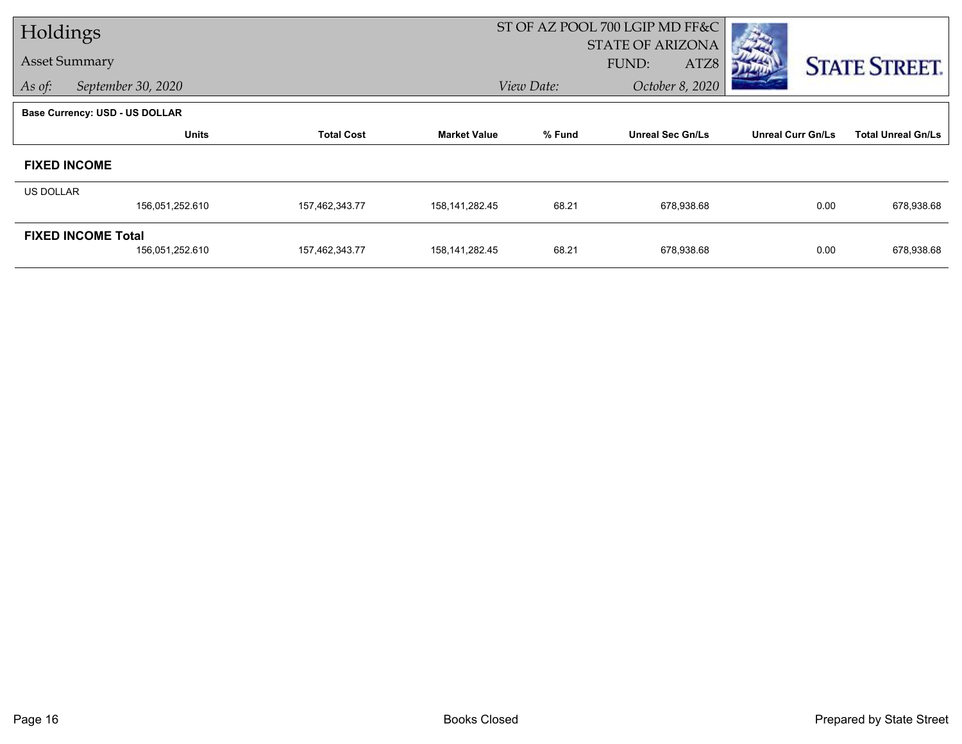| Holdings             |                                       |                   |                     |                                   | ST OF AZ POOL 700 LGIP MD FF&C |                          |                           |
|----------------------|---------------------------------------|-------------------|---------------------|-----------------------------------|--------------------------------|--------------------------|---------------------------|
|                      |                                       |                   |                     |                                   | <b>STATE OF ARIZONA</b>        |                          |                           |
| <b>Asset Summary</b> |                                       |                   |                     |                                   | FUND:<br>ATZ8                  |                          | <b>STATE STREET.</b>      |
| As of:               | September 30, 2020                    |                   |                     | View Date:                        | October 8, 2020                |                          |                           |
|                      | <b>Base Currency: USD - US DOLLAR</b> |                   |                     |                                   |                                |                          |                           |
|                      | <b>Units</b>                          | <b>Total Cost</b> | <b>Market Value</b> | % Fund<br><b>Unreal Sec Gn/Ls</b> |                                | <b>Unreal Curr Gn/Ls</b> | <b>Total Unreal Gn/Ls</b> |
|                      | <b>FIXED INCOME</b>                   |                   |                     |                                   |                                |                          |                           |
| <b>US DOLLAR</b>     |                                       |                   |                     |                                   |                                |                          |                           |
|                      | 156,051,252.610                       | 157,462,343.77    | 158, 141, 282. 45   | 68.21                             | 678,938.68                     | 0.00                     | 678,938.68                |
|                      | <b>FIXED INCOME Total</b>             |                   |                     |                                   |                                |                          |                           |
|                      | 156,051,252.610                       | 157,462,343.77    | 158, 141, 282. 45   | 68.21                             | 678,938.68                     | 0.00                     | 678,938.68                |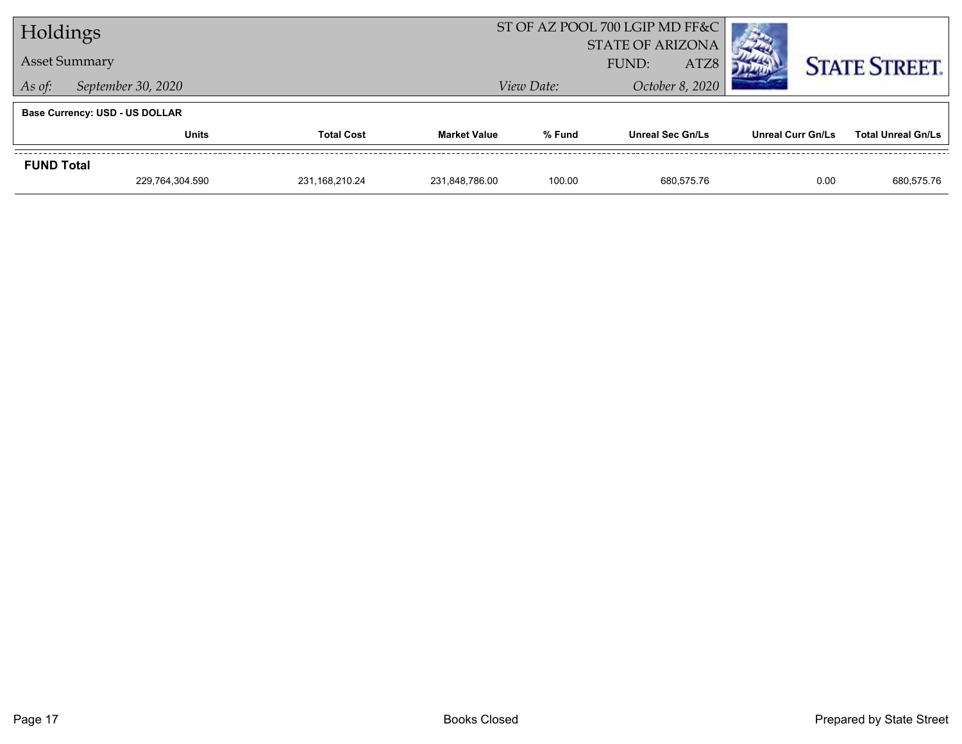| Holdings                              |                      |                   |                     |                         | ST OF AZ POOL 700 LGIP MD FF&C |                   |                           |  |
|---------------------------------------|----------------------|-------------------|---------------------|-------------------------|--------------------------------|-------------------|---------------------------|--|
|                                       |                      |                   |                     | <b>STATE OF ARIZONA</b> |                                |                   |                           |  |
|                                       | <b>Asset Summary</b> |                   |                     | ATZ8<br>FUND:           |                                |                   | <b>STATE STREET.</b>      |  |
| As of:                                | September 30, 2020   |                   | View Date:          | October 8, 2020         |                                |                   |                           |  |
| <b>Base Currency: USD - US DOLLAR</b> |                      |                   |                     |                         |                                |                   |                           |  |
|                                       | <b>Units</b>         | <b>Total Cost</b> | <b>Market Value</b> | % Fund                  | <b>Unreal Sec Gn/Ls</b>        | Unreal Curr Gn/Ls | <b>Total Unreal Gn/Ls</b> |  |
| <b>FUND Total</b>                     |                      |                   |                     |                         |                                |                   |                           |  |
|                                       | 229,764,304.590      | 231,168,210.24    | 231,848,786.00      | 100.00                  | 680.575.76                     | 0.00              | 680,575.76                |  |